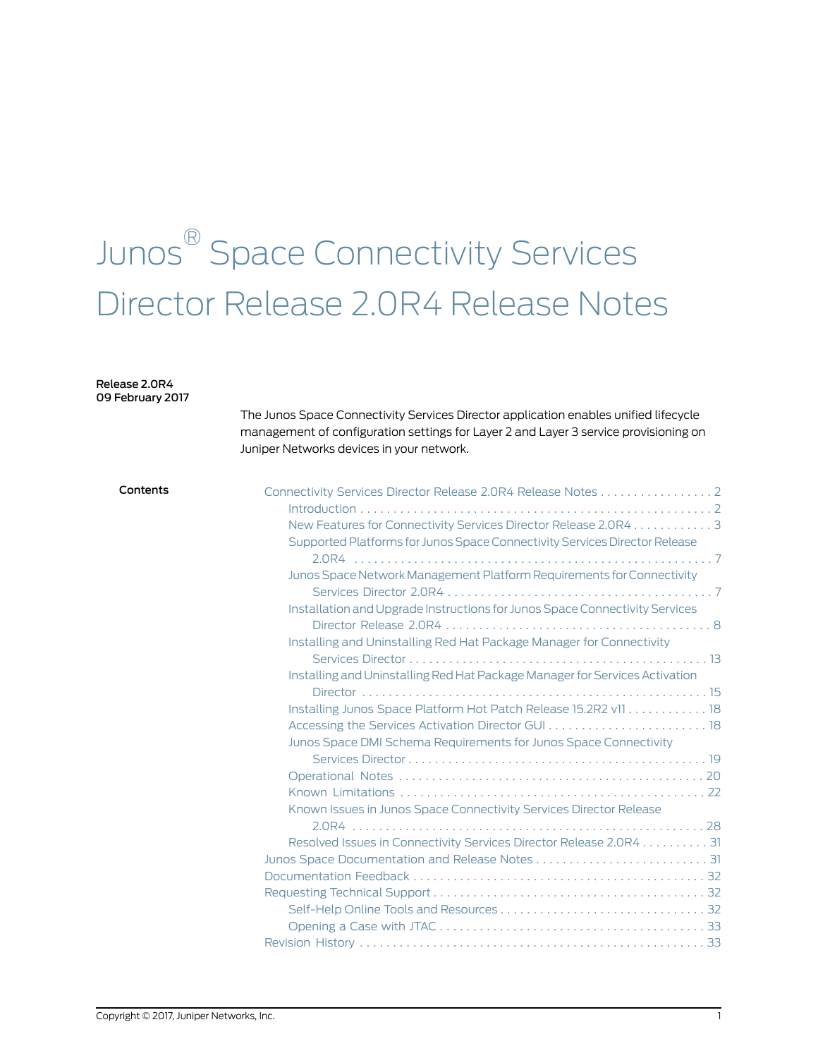# Junos ® Space Connectivity Services Director Release 2.0R4 Release Notes

#### Release 2.0R4 09 February 2017

The Junos Space Connectivity Services Director application enables unified lifecycle management of configuration settings for Layer 2 and Layer 3 service provisioning on Juniper Networks devices in your network.

| Contents | Connectivity Services Director Release 2.0R4 Release Notes 2                |  |
|----------|-----------------------------------------------------------------------------|--|
|          |                                                                             |  |
|          | New Features for Connectivity Services Director Release 2.0R4 3             |  |
|          | Supported Platforms for Junos Space Connectivity Services Director Release  |  |
|          |                                                                             |  |
|          | Junos Space Network Management Platform Requirements for Connectivity       |  |
|          |                                                                             |  |
|          | Installation and Upgrade Instructions for Junos Space Connectivity Services |  |
|          |                                                                             |  |
|          | Installing and Uninstalling Red Hat Package Manager for Connectivity        |  |
|          |                                                                             |  |
|          | Installing and Uninstalling Red Hat Package Manager for Services Activation |  |
|          |                                                                             |  |
|          | Installing Junos Space Platform Hot Patch Release 15.2R2 v11 18             |  |
|          |                                                                             |  |
|          | Junos Space DMI Schema Requirements for Junos Space Connectivity            |  |
|          |                                                                             |  |
|          |                                                                             |  |
|          |                                                                             |  |
|          | Known Issues in Junos Space Connectivity Services Director Release          |  |
|          |                                                                             |  |
|          | Resolved Issues in Connectivity Services Director Release 2.0R4 31          |  |
|          |                                                                             |  |
|          |                                                                             |  |
|          |                                                                             |  |
|          |                                                                             |  |
|          |                                                                             |  |
|          |                                                                             |  |
|          |                                                                             |  |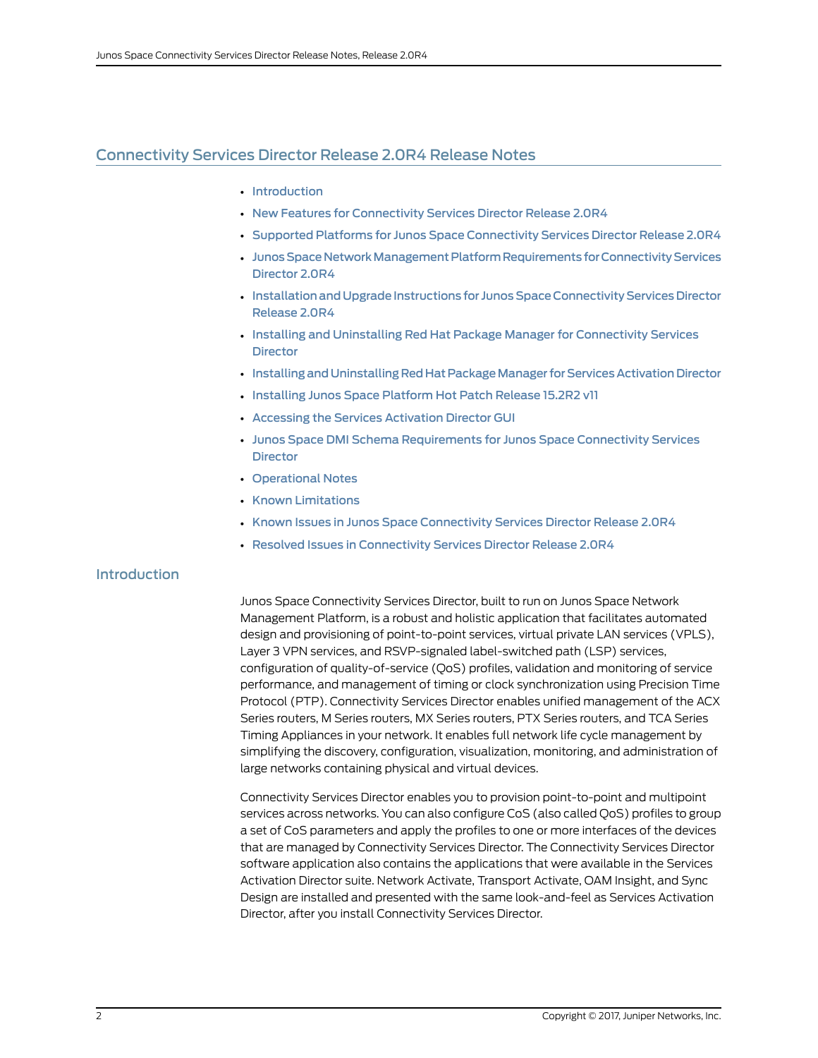# <span id="page-1-0"></span>Connectivity Services Director Release 2.0R4 Release Notes

- [Introduction](#page-1-1)
- New Features for [Connectivity](#page-2-0) Services Director Release 2.0R4
- Supported Platforms for Junos Space [Connectivity](#page-6-0) Services Director Release 2.0R4
- Junos Space Network Management Platform Requirements for Connectivity Services [Director](#page-6-1) 2.0R4
- [InstallationandUpgrade](#page-7-0) Instructions for Junos Space Connectivity Services Director [Release](#page-7-0) 2.0R4
- Installing and Uninstalling Red Hat Package Manager for [Connectivity](#page-12-0) Services **[Director](#page-12-0)**
- Installing and Uninstalling Red Hat Package Manager for Services Activation Director
- [Installing](#page-17-0) Junos Space Platform Hot Patch Release 15.2R2 v11
- Accessing the Services [Activation](#page-17-1) Director GUI
- Junos Space DMI Schema [Requirements](#page-18-0) for Junos Space Connectivity Services **[Director](#page-18-0)**
- [Operational](#page-19-0) Notes
- Known [Limitations](#page-21-0)
- Known Issues in Junos Space [Connectivity](#page-27-0) Services Director Release 2.0R4
- Resolved Issues in [Connectivity](#page-30-0) Services Director Release 2.0R4

# <span id="page-1-1"></span>Introduction

Junos Space Connectivity Services Director, built to run on Junos Space Network Management Platform, is a robust and holistic application that facilitates automated design and provisioning of point-to-point services, virtual private LAN services (VPLS), Layer 3 VPN services, and RSVP-signaled label-switched path (LSP) services, configuration of quality-of-service (QoS) profiles, validation and monitoring of service performance, and management of timing or clock synchronization using Precision Time Protocol (PTP). Connectivity Services Director enables unified management of the ACX Series routers, M Series routers, MX Series routers, PTX Series routers, and TCA Series Timing Appliances in your network. It enables full network life cycle management by simplifying the discovery, configuration, visualization, monitoring, and administration of large networks containing physical and virtual devices.

Connectivity Services Director enables you to provision point-to-point and multipoint services across networks. You can also configure CoS (also called QoS) profiles to group a set of CoS parameters and apply the profiles to one or more interfaces of the devices that are managed by Connectivity Services Director. The Connectivity Services Director software application also contains the applications that were available in the Services Activation Director suite. Network Activate, Transport Activate, OAM Insight, and Sync Design are installed and presented with the same look-and-feel as Services Activation Director, after you install Connectivity Services Director.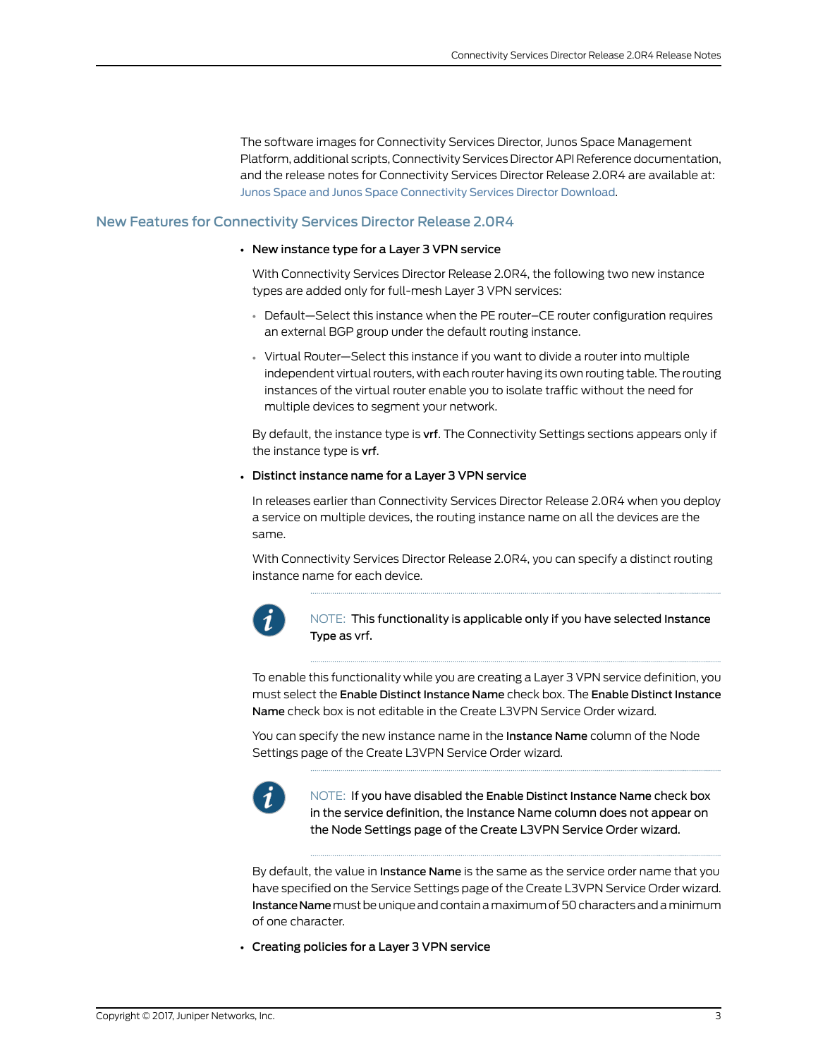The software images for Connectivity Services Director, Junos Space Management Platform, additional scripts, Connectivity Services Director API Reference documentation, and the release notes for Connectivity Services Director Release 2.0R4 are available at: Junos Space and Junos Space [Connectivity](http://www.juniper.net/support/downloads/space.html) Services Director Download.

# <span id="page-2-0"></span>New Features for Connectivity Services Director Release 2.0R4

#### • New instance type for a Layer 3 VPN service

With Connectivity Services Director Release 2.0R4, the following two new instance types are added only for full-mesh Layer 3 VPN services:

- Default—Select this instance when the PE router–CE router configuration requires an external BGP group under the default routing instance.
- Virtual Router—Select this instance if you want to divide a router into multiple independent virtual routers, with each router having its own routing table. The routing instances of the virtual router enable you to isolate traffic without the need for multiple devices to segment your network.

By default, the instance type is vrf. The Connectivity Settings sections appears only if the instance type is vrf.

#### • Distinct instance name for a Layer 3 VPN service

In releases earlier than Connectivity Services Director Release 2.0R4 when you deploy a service on multiple devices, the routing instance name on all the devices are the same.

With Connectivity Services Director Release 2.0R4, you can specify a distinct routing instance name for each device.



NOTE: This functionality is applicable only if you have selected Instance Type as vrf.

To enable this functionality while you are creating a Layer 3 VPN service definition, you must select the Enable Distinct Instance Name check box. The Enable Distinct Instance Name check box is not editable in the Create L3VPN Service Order wizard.

You can specify the new instance name in the **Instance Name** column of the Node Settings page of the Create L3VPN Service Order wizard.



NOTE: If you have disabled the Enable Distinct Instance Name check box in the service definition, the Instance Name column does not appear on the Node Settings page of the Create L3VPN Service Order wizard.

By default, the value in **Instance Name** is the same as the service order name that you have specified on the Service Settings page of the Create L3VPN Service Order wizard. Instance Name must be unique and contain a maximum of 50 characters and a minimum of one character.

• Creating policies for a Layer 3 VPN service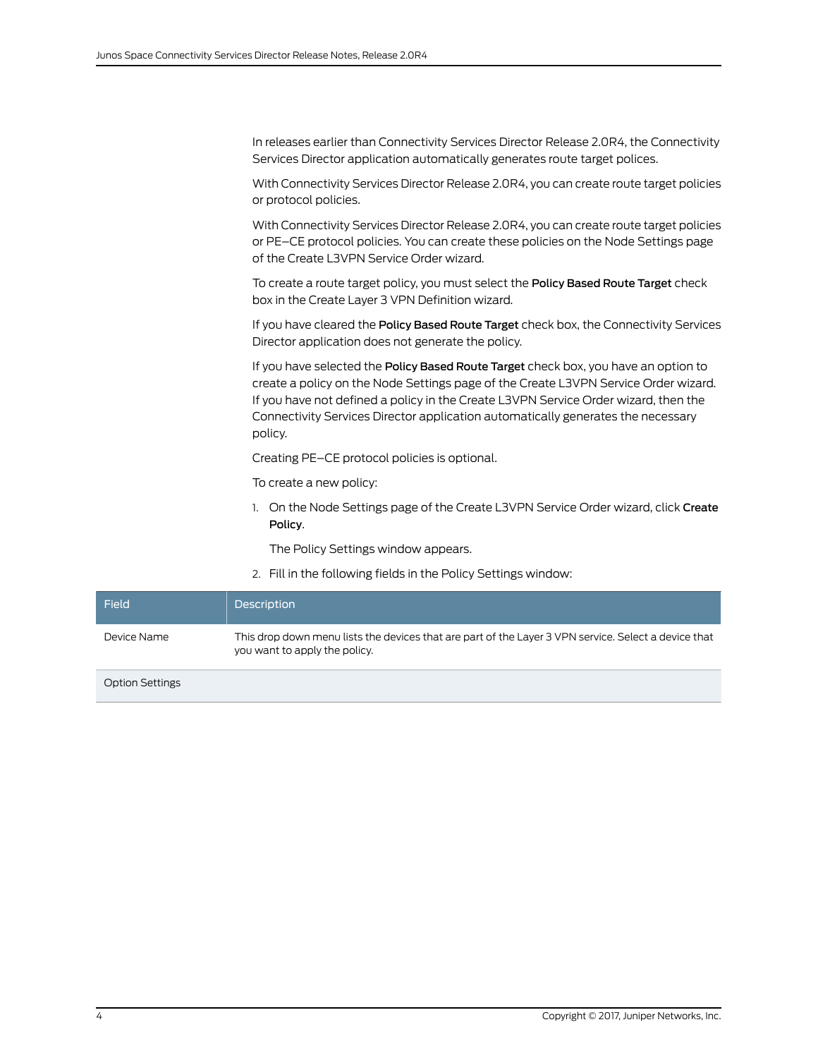In releases earlier than Connectivity Services Director Release 2.0R4, the Connectivity Services Director application automatically generates route target polices.

With Connectivity Services Director Release 2.0R4, you can create route target policies or protocol policies.

With Connectivity Services Director Release 2.0R4, you can create route target policies or PE–CE protocol policies. You can create these policies on the Node Settings page of the Create L3VPN Service Order wizard.

To create a route target policy, you must select the Policy Based Route Target check box in the Create Layer 3 VPN Definition wizard.

If you have cleared the Policy Based Route Target check box, the Connectivity Services Director application does not generate the policy.

If you have selected the Policy Based Route Target check box, you have an option to create a policy on the Node Settings page of the Create L3VPN Service Order wizard. If you have not defined a policy in the Create L3VPN Service Order wizard, then the Connectivity Services Director application automatically generates the necessary policy.

Creating PE–CE protocol policies is optional.

To create a new policy:

1. On the Node Settings page of the Create L3VPN Service Order wizard, click Create Policy.

The Policy Settings window appears.

2. Fill in the following fields in the Policy Settings window:

| Field                  | <b>Description</b>                                                                                                                    |
|------------------------|---------------------------------------------------------------------------------------------------------------------------------------|
| Device Name            | This drop down menu lists the devices that are part of the Layer 3 VPN service. Select a device that<br>you want to apply the policy. |
| <b>Option Settings</b> |                                                                                                                                       |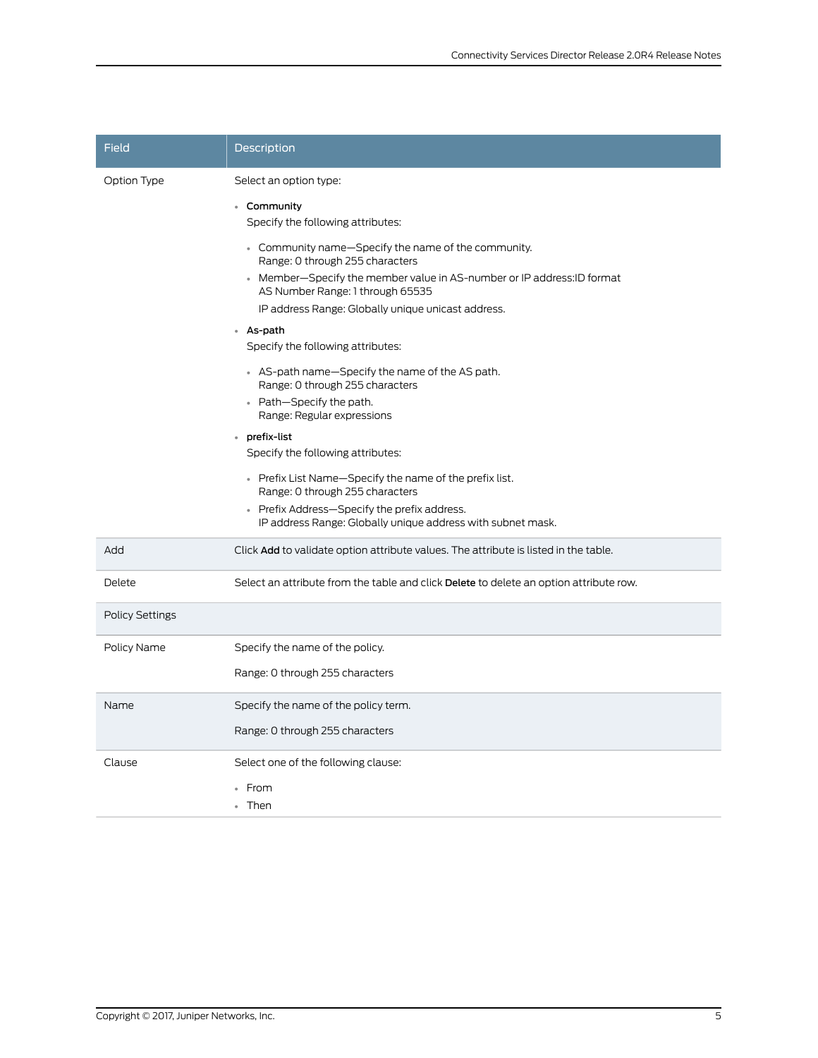| Field                  | <b>Description</b>                                                                                                                                                                                                                                                                                                                                                                                                                                                                                                                                           |
|------------------------|--------------------------------------------------------------------------------------------------------------------------------------------------------------------------------------------------------------------------------------------------------------------------------------------------------------------------------------------------------------------------------------------------------------------------------------------------------------------------------------------------------------------------------------------------------------|
| Option Type            | Select an option type:<br>• Community<br>Specify the following attributes:<br>• Community name-Specify the name of the community.<br>Range: 0 through 255 characters<br>• Member-Specify the member value in AS-number or IP address: ID format<br>AS Number Range: 1 through 65535<br>IP address Range: Globally unique unicast address.<br>• As-path<br>Specify the following attributes:<br>• AS-path name—Specify the name of the AS path.<br>Range: 0 through 255 characters<br>• Path-Specify the path.<br>Range: Regular expressions<br>• prefix-list |
|                        | Specify the following attributes:<br>• Prefix List Name-Specify the name of the prefix list.<br>Range: 0 through 255 characters<br>• Prefix Address-Specify the prefix address.<br>IP address Range: Globally unique address with subnet mask.                                                                                                                                                                                                                                                                                                               |
| Add                    | Click Add to validate option attribute values. The attribute is listed in the table.                                                                                                                                                                                                                                                                                                                                                                                                                                                                         |
| Delete                 | Select an attribute from the table and click Delete to delete an option attribute row.                                                                                                                                                                                                                                                                                                                                                                                                                                                                       |
| <b>Policy Settings</b> |                                                                                                                                                                                                                                                                                                                                                                                                                                                                                                                                                              |
| Policy Name            | Specify the name of the policy.<br>Range: 0 through 255 characters                                                                                                                                                                                                                                                                                                                                                                                                                                                                                           |
| Name                   | Specify the name of the policy term.<br>Range: 0 through 255 characters                                                                                                                                                                                                                                                                                                                                                                                                                                                                                      |
| Clause                 | Select one of the following clause:<br>From<br>• Then                                                                                                                                                                                                                                                                                                                                                                                                                                                                                                        |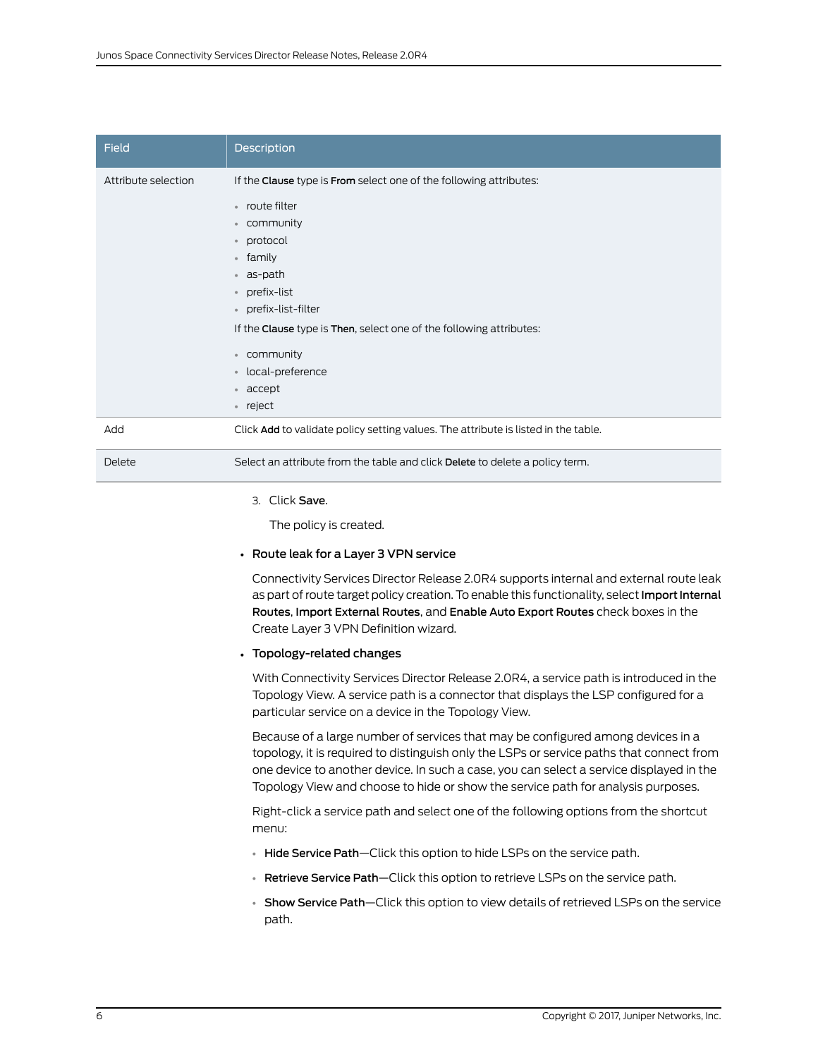| <b>Field</b>        | <b>Description</b>                                                                                                                                                                                                                                                                                                                                                                             |
|---------------------|------------------------------------------------------------------------------------------------------------------------------------------------------------------------------------------------------------------------------------------------------------------------------------------------------------------------------------------------------------------------------------------------|
| Attribute selection | If the Clause type is From select one of the following attributes:<br>• route filter<br>community<br>$\bullet$<br>protocol<br>$\bullet$<br>family<br>$\circ$<br>as-path<br>$\bullet$<br>prefix-list<br>$\bullet$<br>• prefix-list-filter<br>If the Clause type is Then, select one of the following attributes:<br>community<br>$\circ$<br>local-preference<br>$\circ$<br>• accept<br>• reject |
| Add                 | Click Add to validate policy setting values. The attribute is listed in the table.                                                                                                                                                                                                                                                                                                             |
| Delete              | Select an attribute from the table and click Delete to delete a policy term.                                                                                                                                                                                                                                                                                                                   |
|                     |                                                                                                                                                                                                                                                                                                                                                                                                |

#### 3. Click Save.

The policy is created.

#### • Route leak for a Layer 3 VPN service

Connectivity Services Director Release 2.0R4 supports internal and external route leak as part of route target policy creation. To enable this functionality, select Import Internal Routes, Import External Routes, and Enable Auto Export Routes check boxes in the Create Layer 3 VPN Definition wizard.

#### • Topology-related changes

With Connectivity Services Director Release 2.0R4, a service path is introduced in the Topology View. A service path is a connector that displays the LSP configured for a particular service on a device in the Topology View.

Because of a large number of services that may be configured among devices in a topology, it is required to distinguish only the LSPs or service paths that connect from one device to another device. In such a case, you can select a service displayed in the Topology View and choose to hide or show the service path for analysis purposes.

Right-click a service path and select one of the following options from the shortcut menu:

- Hide Service Path-Click this option to hide LSPs on the service path.
- Retrieve Service Path—Click this option to retrieve LSPs on the service path.
- Show Service Path—Click this option to view details of retrieved LSPs on the service path.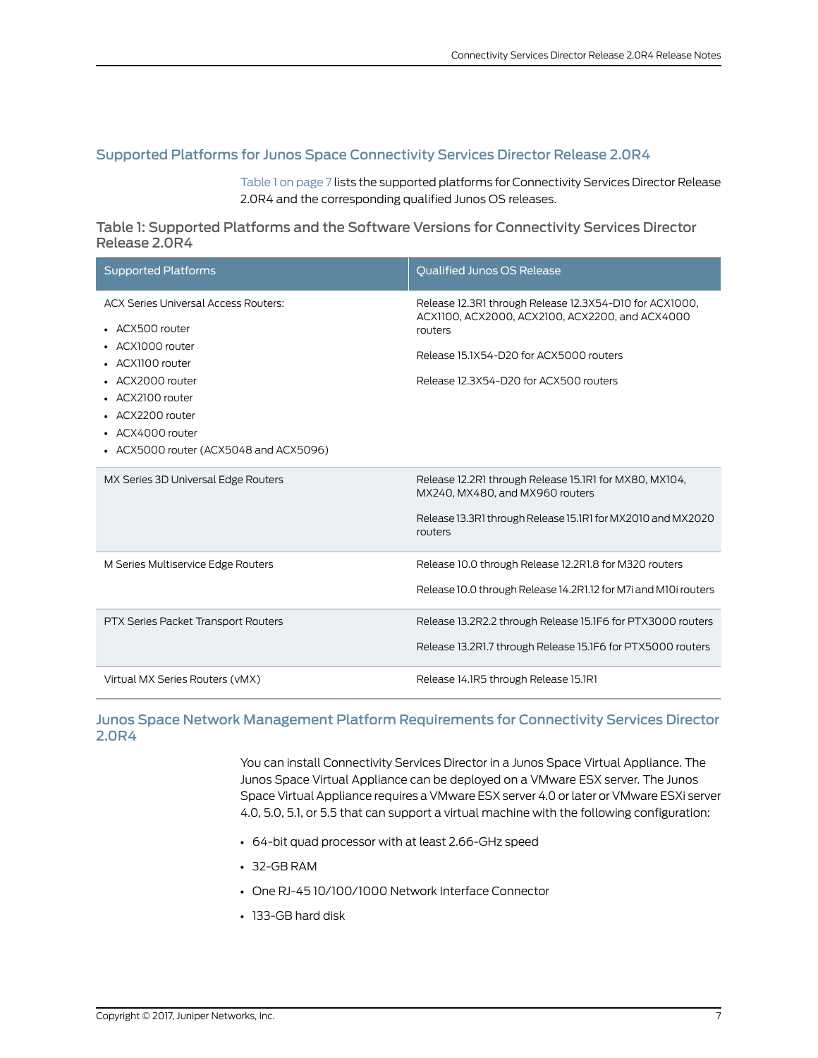# <span id="page-6-0"></span>Supported Platforms for Junos Space Connectivity Services Director Release 2.0R4

<span id="page-6-2"></span>[Table](#page-6-2) 1 on page 7 lists the supported platforms for Connectivity Services Director Release 2.0R4 and the corresponding qualified Junos OS releases.

Table 1: Supported Platforms and the Software Versions for Connectivity Services Director Release 2.0R4

| <b>Supported Platforms</b>                                                                                                                                                                                                       | <b>Oualified Junos OS Release</b>                                                                                                                                                                          |
|----------------------------------------------------------------------------------------------------------------------------------------------------------------------------------------------------------------------------------|------------------------------------------------------------------------------------------------------------------------------------------------------------------------------------------------------------|
| <b>ACX Series Universal Access Routers:</b><br>• ACX500 router<br>• ACX1000 router<br>• ACX1100 router<br>• ACX2000 router<br>• ACX2100 router<br>• ACX2200 router<br>• ACX4000 router<br>• ACX5000 router (ACX5048 and ACX5096) | Release 12.3R1 through Release 12.3X54-D10 for ACX1000,<br>ACX1100, ACX2000, ACX2100, ACX2200, and ACX4000<br>routers<br>Release 15.1X54-D20 for ACX5000 routers<br>Release 12.3X54-D20 for ACX500 routers |
| MX Series 3D Universal Edge Routers                                                                                                                                                                                              | Release 12.2R1 through Release 15.1R1 for MX80, MX104,<br>MX240, MX480, and MX960 routers<br>Release 13.3R1 through Release 15.1R1 for MX2010 and MX2020<br>routers                                        |
| M Series Multiservice Edge Routers                                                                                                                                                                                               | Release 10.0 through Release 12.2R1.8 for M320 routers<br>Release 10.0 through Release 14.2R1.12 for M7i and M10i routers                                                                                  |
| PTX Series Packet Transport Routers                                                                                                                                                                                              | Release 13.2R2.2 through Release 15.1F6 for PTX3000 routers<br>Release 13.2R1.7 through Release 15.1F6 for PTX5000 routers                                                                                 |
| Virtual MX Series Routers (vMX)                                                                                                                                                                                                  | Release 14.1R5 through Release 15.1R1                                                                                                                                                                      |

# <span id="page-6-1"></span>Junos Space Network Management Platform Requirements for Connectivity Services Director 2.0R4

You can install Connectivity Services Director in a Junos Space Virtual Appliance. The Junos Space Virtual Appliance can be deployed on a VMware ESX server. The Junos Space Virtual Appliance requires a VMware ESX server 4.0 or later or VMware ESXi server 4.0, 5.0, 5.1, or 5.5 that can support a virtual machine with the following configuration:

- 64-bit quad processor with at least 2.66-GHz speed
- 32-GB RAM
- One RJ-45 10/100/1000 Network Interface Connector
- 133-GB hard disk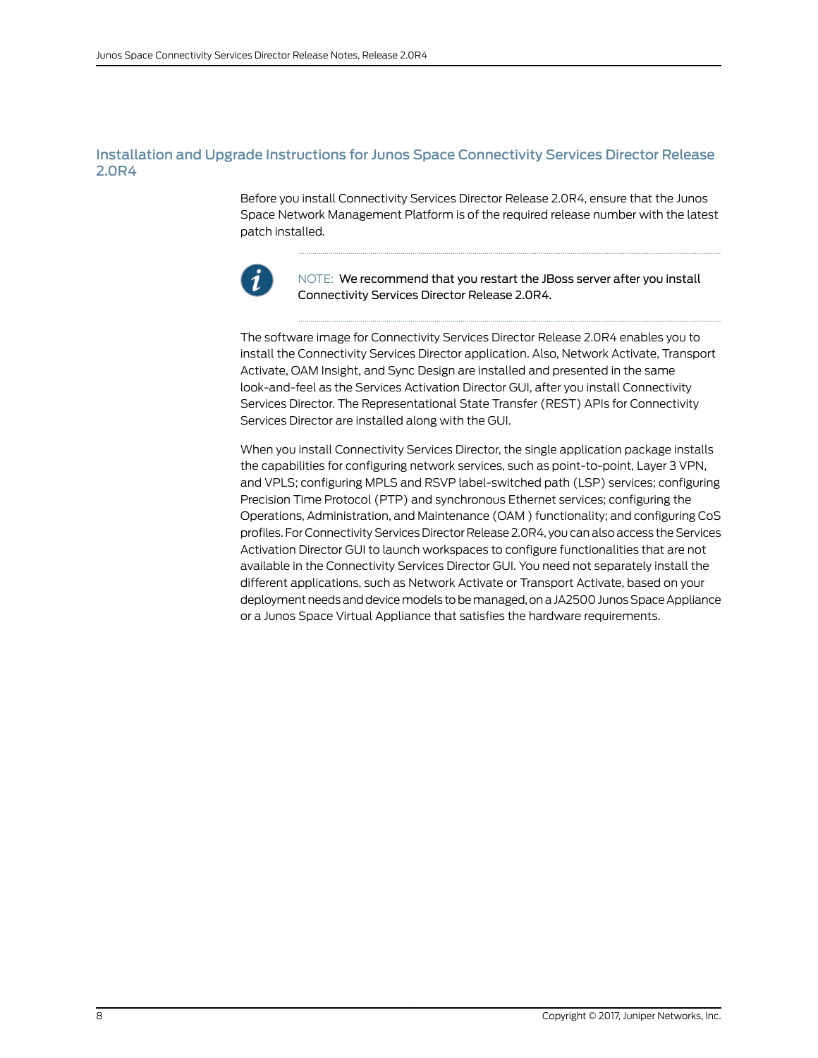# <span id="page-7-0"></span>Installation and Upgrade Instructions for Junos Space Connectivity Services Director Release 2.0R4

Before you install Connectivity Services Director Release 2.0R4, ensure that the Junos Space Network Management Platform is of the required release number with the latest patch installed.



NOTE: We recommend that you restart the JBoss server after you install Connectivity Services Director Release 2.0R4.

The software image for Connectivity Services Director Release 2.0R4 enables you to install the Connectivity Services Director application. Also, Network Activate, Transport Activate, OAM Insight, and Sync Design are installed and presented in the same look-and-feel as the Services Activation Director GUI, after you install Connectivity Services Director. The Representational State Transfer (REST) APIs for Connectivity Services Director are installed along with the GUI.

When you install Connectivity Services Director, the single application package installs the capabilities for configuring network services, such as point-to-point, Layer 3 VPN, and VPLS; configuring MPLS and RSVP label-switched path (LSP) services; configuring Precision Time Protocol (PTP) and synchronous Ethernet services; configuring the Operations, Administration, and Maintenance (OAM ) functionality; and configuring CoS profiles. For Connectivity Services Director Release 2.0R4, you can also access the Services Activation Director GUI to launch workspaces to configure functionalities that are not available in the Connectivity Services Director GUI. You need not separately install the different applications, such as Network Activate or Transport Activate, based on your deployment needs and device models to be managed, on a JA2500 Junos Space Appliance or a Junos Space Virtual Appliance that satisfies the hardware requirements.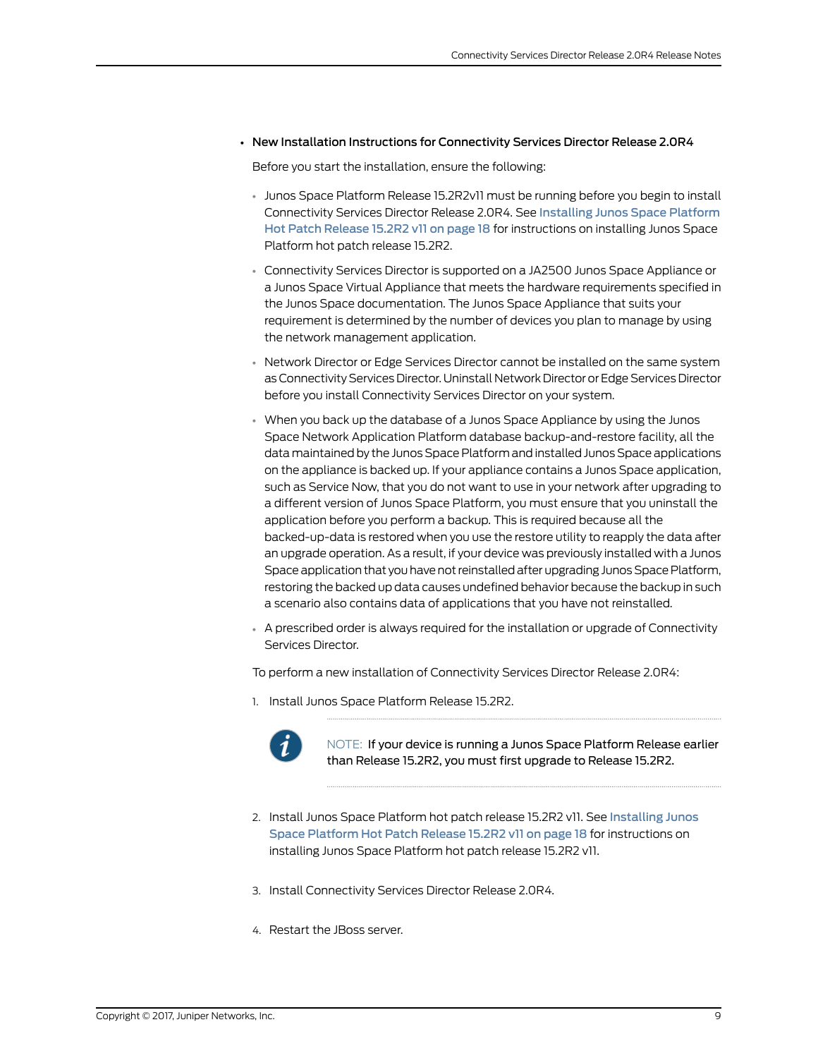### • New Installation Instructions for Connectivity Services Director Release 2.0R4

Before you start the installation, ensure the following:

- Junos Space Platform Release 15.2R2v11 must be running before you begin to install Connectivity Services Director Release 2.0R4. See [Installing](#page-17-0) Junos Space Platform Hot Patch [Release](#page-17-0) 15.2R2 v11 on page 18 for instructions on installing Junos Space Platform hot patch release 15.2R2.
- Connectivity Services Director is supported on a JA2500 Junos Space Appliance or a Junos Space Virtual Appliance that meets the hardware requirements specified in the Junos Space documentation. The Junos Space Appliance that suits your requirement is determined by the number of devices you plan to manage by using the network management application.
- Network Director or Edge Services Director cannot be installed on the same system as Connectivity Services Director. Uninstall Network Director or Edge Services Director before you install Connectivity Services Director on your system.
- When you back up the database of a Junos Space Appliance by using the Junos Space Network Application Platform database backup-and-restore facility, all the datamaintained by the Junos Space Platformand installed Junos Space applications on the appliance is backed up. If your appliance contains a Junos Space application, such as Service Now, that you do not want to use in your network after upgrading to a different version of Junos Space Platform, you must ensure that you uninstall the application before you perform a backup. This is required because all the backed-up-data is restored when you use the restore utility to reapply the data after an upgrade operation. As a result, if your device was previously installed with a Junos Space application that you have not reinstalled after upgrading Junos Space Platform, restoring the backed up data causes undefined behavior because the backup in such a scenario also contains data of applications that you have not reinstalled.
- A prescribed order is always required for the installation or upgrade of Connectivity Services Director.

To perform a new installation of Connectivity Services Director Release 2.0R4:

1. Install Junos Space Platform Release 15.2R2.



NOTE: If your device is running a Junos Space Platform Release earlier than Release 15.2R2, you must first upgrade to Release 15.2R2.

- 2. Install Junos Space Platform hot patch release 15.2R2 v11. See [Installing](#page-17-0) Junos Space [Platform](#page-17-0) Hot Patch Release 15.2R2 v11 on page 18 for instructions on installing Junos Space Platform hot patch release 15.2R2 v11.
- 3. Install Connectivity Services Director Release 2.0R4.
- 4. Restart the JBoss server.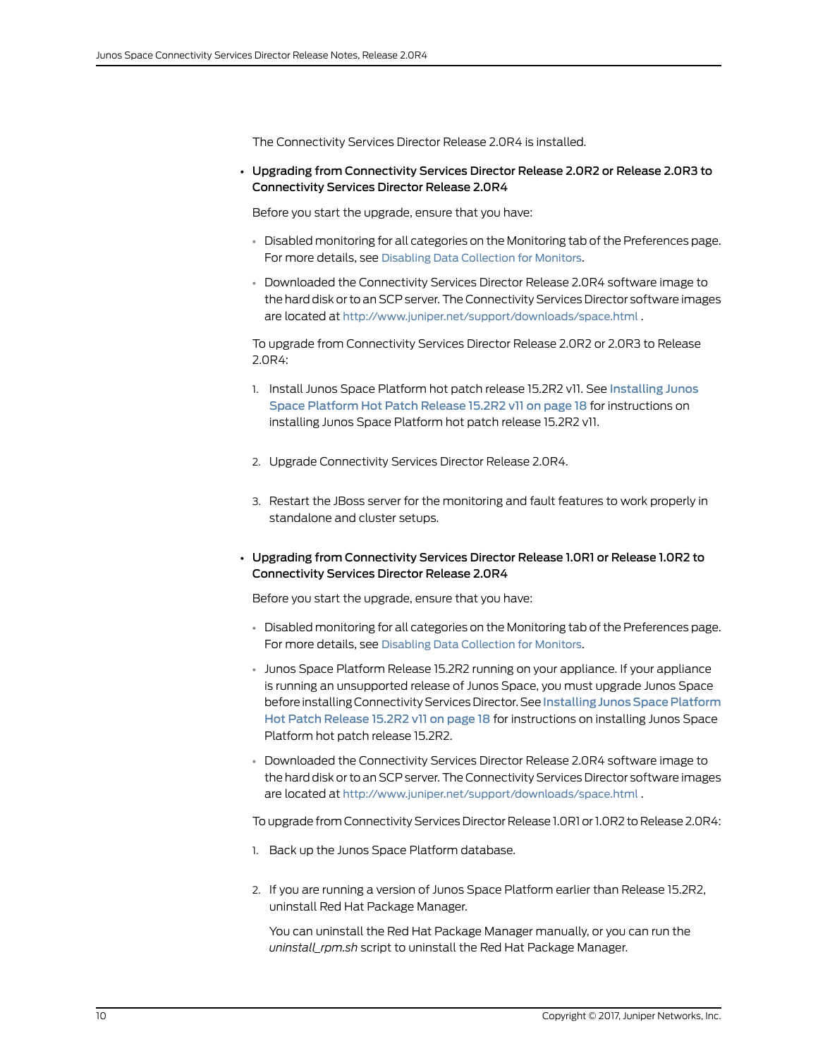The Connectivity Services Director Release 2.0R4 is installed.

• Upgrading from Connectivity Services Director Release 2.0R2 or Release 2.0R3 to Connectivity Services Director Release 2.0R4

Before you start the upgrade, ensure that you have:

- Disabled monitoring for all categories on the Monitoring tab of the Preferences page. For more details, see Disabling Data [Collection](http://www.juniper.net/techpubs/en_US/junos-space-apps/connectivity-services-director1.0/topics/task/configuration/preferences-setup-csd.html#monitors-data-collection) for Monitors.
- Downloaded the Connectivity Services Director Release 2.0R4 software image to the hard disk or to an SCP server.The Connectivity Services Director software images are located at <http://www.juniper.net/support/downloads/space.html> .

To upgrade from Connectivity Services Director Release 2.0R2 or 2.0R3 to Release 2.0R4:

- 1. Install Junos Space Platform hot patch release 15.2R2 v11. See [Installing](#page-17-0) Junos Space [Platform](#page-17-0) Hot Patch Release 15.2R2 v11 on page 18 for instructions on installing Junos Space Platform hot patch release 15.2R2 v11.
- 2. Upgrade Connectivity Services Director Release 2.0R4.
- 3. Restart the JBoss server for the monitoring and fault features to work properly in standalone and cluster setups.
- Upgrading from Connectivity Services Director Release 1.0R1 or Release 1.0R2 to Connectivity Services Director Release 2.0R4

Before you start the upgrade, ensure that you have:

- Disabled monitoring for all categories on the Monitoring tab of the Preferences page. For more details, see Disabling Data [Collection](http://www.juniper.net/techpubs/en_US/junos-space-apps/connectivity-services-director1.0/topics/task/configuration/preferences-setup-csd.html#monitors-data-collection) for Monitors.
- Junos Space Platform Release 15.2R2 running on your appliance. If your appliance is running an unsupported release of Junos Space, you must upgrade Junos Space before installing Connectivity Services Director. See Installing Junos Space Platform Hot Patch [Release](#page-17-0) 15.2R2 v11 on page 18 for instructions on installing Junos Space Platform hot patch release 15.2R2.
- Downloaded the Connectivity Services Director Release 2.0R4 software image to the hard disk or to an SCP server.The Connectivity Services Director software images are located at <http://www.juniper.net/support/downloads/space.html> .

To upgrade from Connectivity Services Director Release 1.0R1 or1.0R2 to Release 2.0R4:

- 1. Back up the Junos Space Platform database.
- 2. If you are running a version of Junos Space Platform earlier than Release 15.2R2, uninstall Red Hat Package Manager.

You can uninstall the Red Hat Package Manager manually, or you can run the *uninstall\_rpm.sh* script to uninstall the Red Hat Package Manager.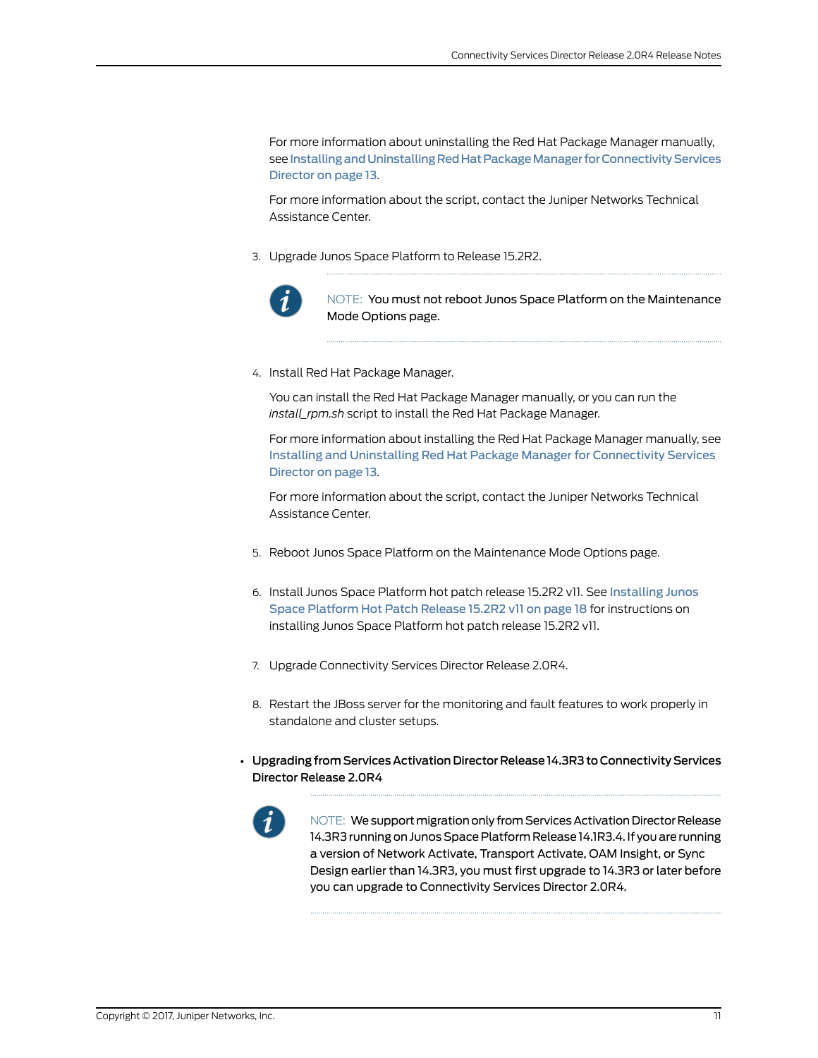For more information about uninstalling the Red Hat Package Manager manually, see Installing and Uninstalling Red Hat Package Manager for Connectivity Services [Director](#page-12-0) on page 13.

For more information about the script, contact the Juniper Networks Technical Assistance Center.

3. Upgrade Junos Space Platform to Release 15.2R2.



NOTE: You must not reboot Junos Space Platform on the Maintenance Mode Options page.

4. Install Red Hat Package Manager.

You can install the Red Hat Package Manager manually, or you can run the *install\_rpm.sh* script to install the Red Hat Package Manager.

For more information about installing the Red Hat Package Manager manually, see Installing and Uninstalling Red Hat Package Manager for [Connectivity](#page-12-0) Services [Director](#page-12-0) on page 13.

For more information about the script, contact the Juniper Networks Technical Assistance Center.

- 5. Reboot Junos Space Platform on the Maintenance Mode Options page.
- 6. Install Junos Space Platform hot patch release 15.2R2 v11. See [Installing](#page-17-0) Junos Space [Platform](#page-17-0) Hot Patch Release 15.2R2 v11 on page 18 for instructions on installing Junos Space Platform hot patch release 15.2R2 v11.
- 7. Upgrade Connectivity Services Director Release 2.0R4.
- 8. Restart the JBoss server for the monitoring and fault features to work properly in standalone and cluster setups.
- Upgrading fromServices Activation Director Release 14.3R3 to Connectivity Services Director Release 2.0R4



NOTE: We support migration only from Services Activation Director Release 14.3R3 running on Junos Space Platform Release 14.1R3.4. If you are running a version of Network Activate, Transport Activate, OAM Insight, or Sync Design earlier than 14.3R3, you must first upgrade to 14.3R3 or later before you can upgrade to Connectivity Services Director 2.0R4.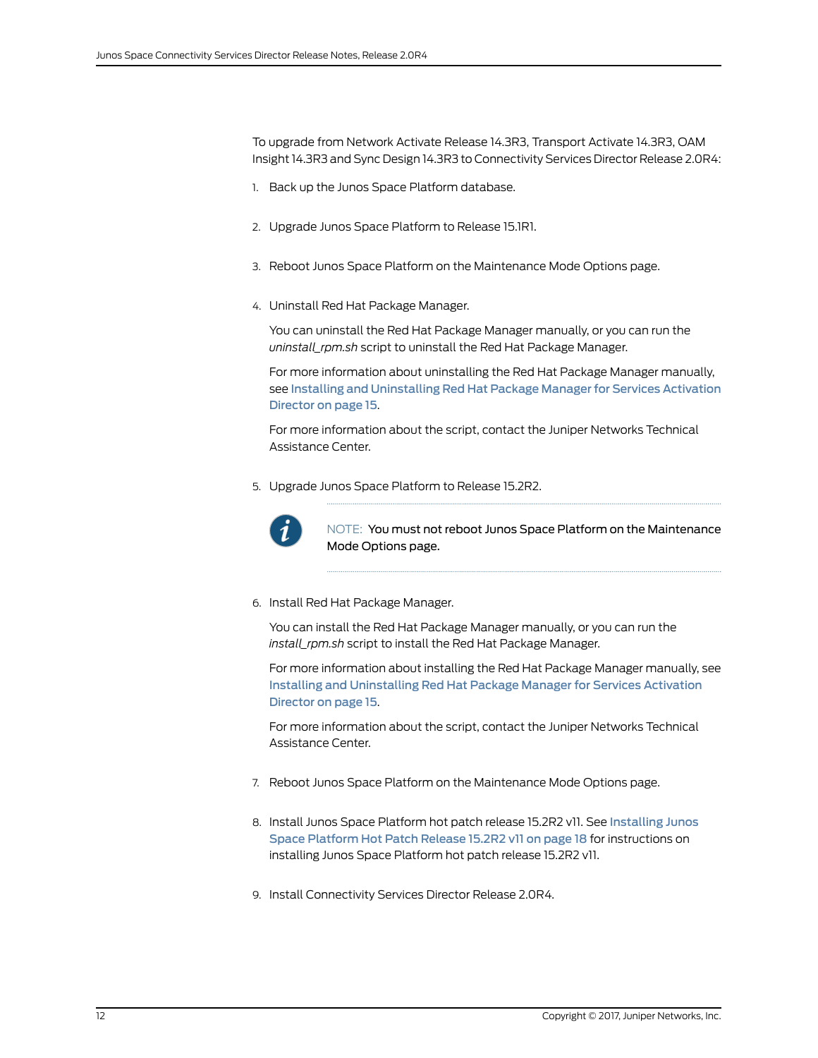To upgrade from Network Activate Release 14.3R3, Transport Activate 14.3R3, OAM Insight 14.3R3 and Sync Design 14.3R3 to Connectivity Services Director Release 2.0R4:

- 1. Back up the Junos Space Platform database.
- 2. Upgrade Junos Space Platform to Release 15.1R1.
- 3. Reboot Junos Space Platform on the Maintenance Mode Options page.
- 4. Uninstall Red Hat Package Manager.

You can uninstall the Red Hat Package Manager manually, or you can run the *uninstall\_rpm.sh* script to uninstall the Red Hat Package Manager.

For more information about uninstalling the Red Hat Package Manager manually, see Installing and [Uninstalling](#page-14-0) Red Hat Package Manager for Services Activation [Director](#page-14-0) on page 15.

For more information about the script, contact the Juniper Networks Technical Assistance Center.

5. Upgrade Junos Space Platform to Release 15.2R2.



NOTE: You must not reboot Junos Space Platform on the Maintenance Mode Options page.

6. Install Red Hat Package Manager.

You can install the Red Hat Package Manager manually, or you can run the *install\_rpm.sh* script to install the Red Hat Package Manager.

For more information about installing the Red Hat Package Manager manually, see Installing and [Uninstalling](#page-14-0) Red Hat Package Manager for Services Activation [Director](#page-14-0) on page 15.

For more information about the script, contact the Juniper Networks Technical Assistance Center.

- 7. Reboot Junos Space Platform on the Maintenance Mode Options page.
- 8. Install Junos Space Platform hot patch release 15.2R2 v11. See [Installing](#page-17-0) Junos Space [Platform](#page-17-0) Hot Patch Release 15.2R2 v11 on page 18 for instructions on installing Junos Space Platform hot patch release 15.2R2 v11.
- 9. Install Connectivity Services Director Release 2.0R4.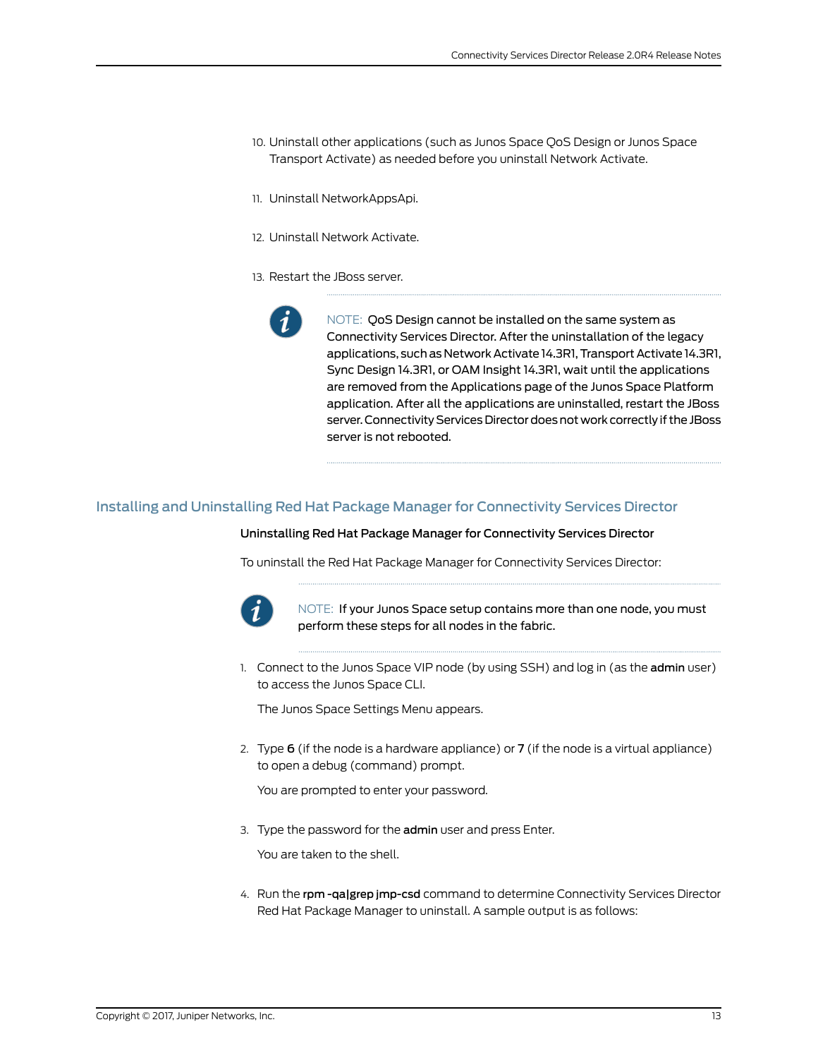- 10. Uninstall other applications (such as Junos Space QoS Design or Junos Space Transport Activate) as needed before you uninstall Network Activate.
- 11. Uninstall NetworkAppsApi.
- 12. Uninstall Network Activate.
- 13. Restart the JBoss server.



NOTE: QoS Design cannot be installed on the same system as Connectivity Services Director. After the uninstallation of the legacy applications, such as Network Activate 14.3R1, Transport Activate 14.3R1, Sync Design 14.3R1, or OAM Insight 14.3R1, wait until the applications are removed from the Applications page of the Junos Space Platform application. After all the applications are uninstalled, restart the JBoss server. Connectivity Services Director does not work correctly if the JBoss server is not rebooted.

### <span id="page-12-0"></span>Installing and Uninstalling Red Hat Package Manager for Connectivity Services Director

#### Uninstalling Red Hat Package Manager for Connectivity Services Director

To uninstall the Red Hat Package Manager for Connectivity Services Director:



NOTE: If your Junos Space setup contains more than one node, you must perform these steps for all nodes in the fabric.

1. Connect to the Junos Space VIP node (by using SSH) and log in (as the admin user) to access the Junos Space CLI.

The Junos Space Settings Menu appears.

2. Type  $6$  (if the node is a hardware appliance) or  $7$  (if the node is a virtual appliance) to open a debug (command) prompt.

You are prompted to enter your password.

3. Type the password for the admin user and press Enter.

You are taken to the shell.

4. Run the rpm -qa|grep jmp-csd command to determine Connectivity Services Director Red Hat Package Manager to uninstall. A sample output is as follows: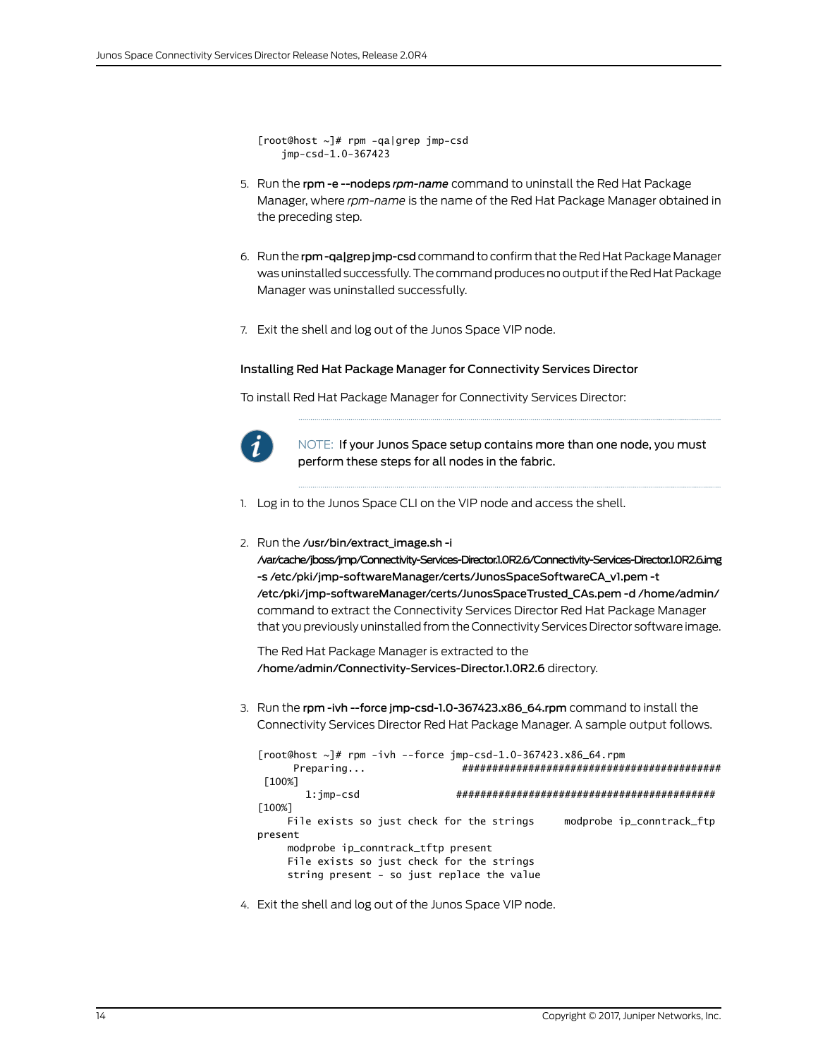[root@host ~]# rpm -qa|grep jmp-csd jmp-csd-1.0-367423

- 5. Run the rpm -e --nodeps *rpm-name* command to uninstall the Red Hat Package Manager, where *rpm-name* is the name of the Red Hat Package Manager obtained in the preceding step.
- 6. Run the rpm-qalgrep jmp-csd command to confirm that the Red Hat Package Manager was uninstalled successfully. The command produces no output if the Red Hat Package Manager was uninstalled successfully.
- 7. Exit the shell and log out of the Junos Space VIP node.

#### Installing Red Hat Package Manager for Connectivity Services Director

To install Red Hat Package Manager for Connectivity Services Director:



NOTE: If your Junos Space setup contains more than one node, you must perform these steps for all nodes in the fabric.

1. Log in to the Junos Space CLI on the VIP node and access the shell.

### 2. Run the /usr/bin/extract\_image.sh -i

/var/cache/jboss/jmp/Connectivity-Services-Director.1.0R2.6/Connectivity-Services-Director.1.0R2.6.img -s /etc/pki/jmp-softwareManager/certs/JunosSpaceSoftwareCA\_v1.pem -t /etc/pki/jmp-softwareManager/certs/JunosSpaceTrusted\_CAs.pem -d /home/admin/ command to extract the Connectivity Services Director Red Hat Package Manager that you previously uninstalled from the Connectivity Services Director software image.

The Red Hat Package Manager is extracted to the /home/admin/Connectivity-Services-Director.1.0R2.6 directory.

3. Run the rpm -ivh --force jmp-csd-1.0-367423.x86\_64.rpm command to install the Connectivity Services Director Red Hat Package Manager. A sample output follows.

```
[root@host ~]# rpm -ivh --force imp-csd-1.0-367423.x86_64.rpm
      Preparing... ###########################################
 [100%]
        1:jmp-csd ########################################### 
[100%]
    File exists so just check for the strings modprobe ip_conntrack_ftp
present
     modprobe ip_conntrack_tftp present
     File exists so just check for the strings
     string present - so just replace the value
```
4. Exit the shell and log out of the Junos Space VIP node.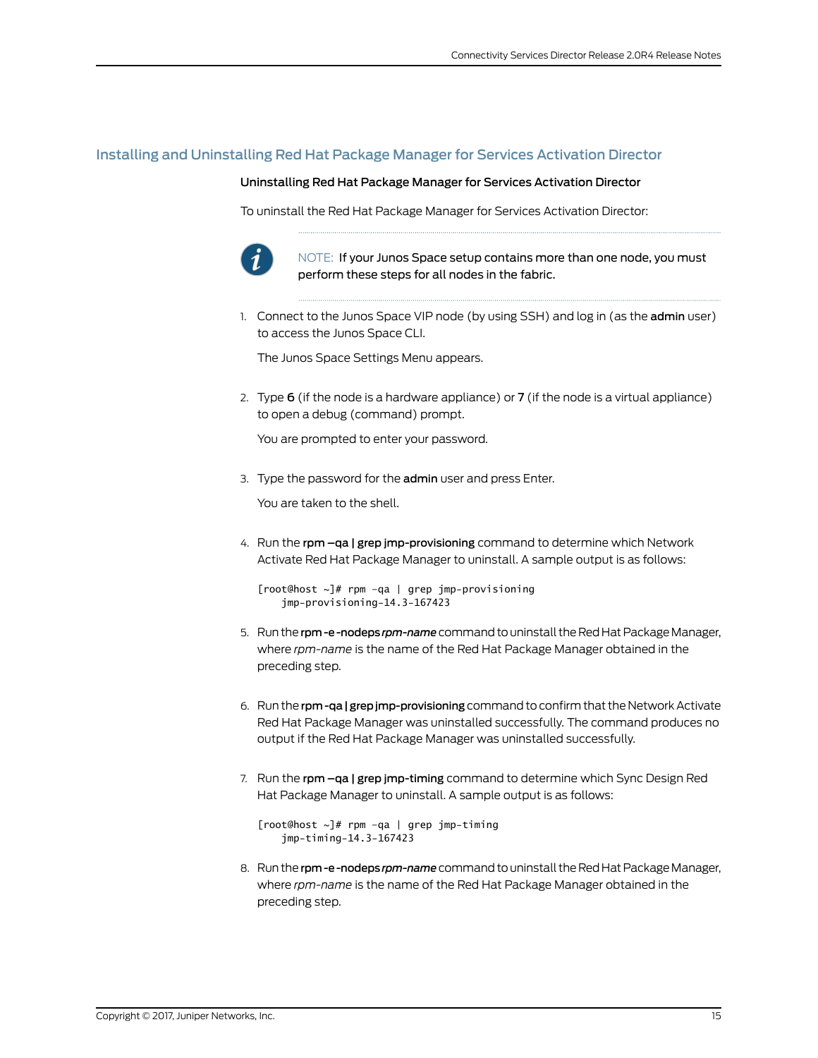# <span id="page-14-0"></span>Installing and Uninstalling Red Hat Package Manager for Services Activation Director

#### Uninstalling Red Hat Package Manager for Services Activation Director

To uninstall the Red Hat Package Manager for Services Activation Director:



NOTE: If your Junos Space setup contains more than one node, you must perform these steps for all nodes in the fabric.

1. Connect to the Junos Space VIP node (by using SSH) and log in (as the admin user) to access the Junos Space CLI.

The Junos Space Settings Menu appears.

2. Type  $6$  (if the node is a hardware appliance) or  $7$  (if the node is a virtual appliance) to open a debug (command) prompt.

You are prompted to enter your password.

3. Type the password for the admin user and press Enter.

You are taken to the shell.

4. Run the rpm -qa | grep jmp-provisioning command to determine which Network Activate Red Hat Package Manager to uninstall. A sample output is as follows:

[root@host  $\sim$ ]# rpm -qa | grep jmp-provisioning jmp-provisioning-14.3-167423

- 5. Runthe rpm-e-nodeps rpm-name command to uninstall the Red Hat Package Manager, where *rpm-name* is the name of the Red Hat Package Manager obtained in the preceding step.
- 6. Run the rpm-qa | grep jmp-provisioning command to confirm that the Network Activate Red Hat Package Manager was uninstalled successfully. The command produces no output if the Red Hat Package Manager was uninstalled successfully.
- 7. Run the rpm qa | grep jmp-timing command to determine which Sync Design Red Hat Package Manager to uninstall. A sample output is as follows:

 $[root@host ~]$ # rpm -qa | qrep jmp-timing jmp-timing-14.3-167423

8. Run the rpm-e-nodeps rpm-name command to uninstall the Red Hat Package Manager, where *rpm-name* is the name of the Red Hat Package Manager obtained in the preceding step.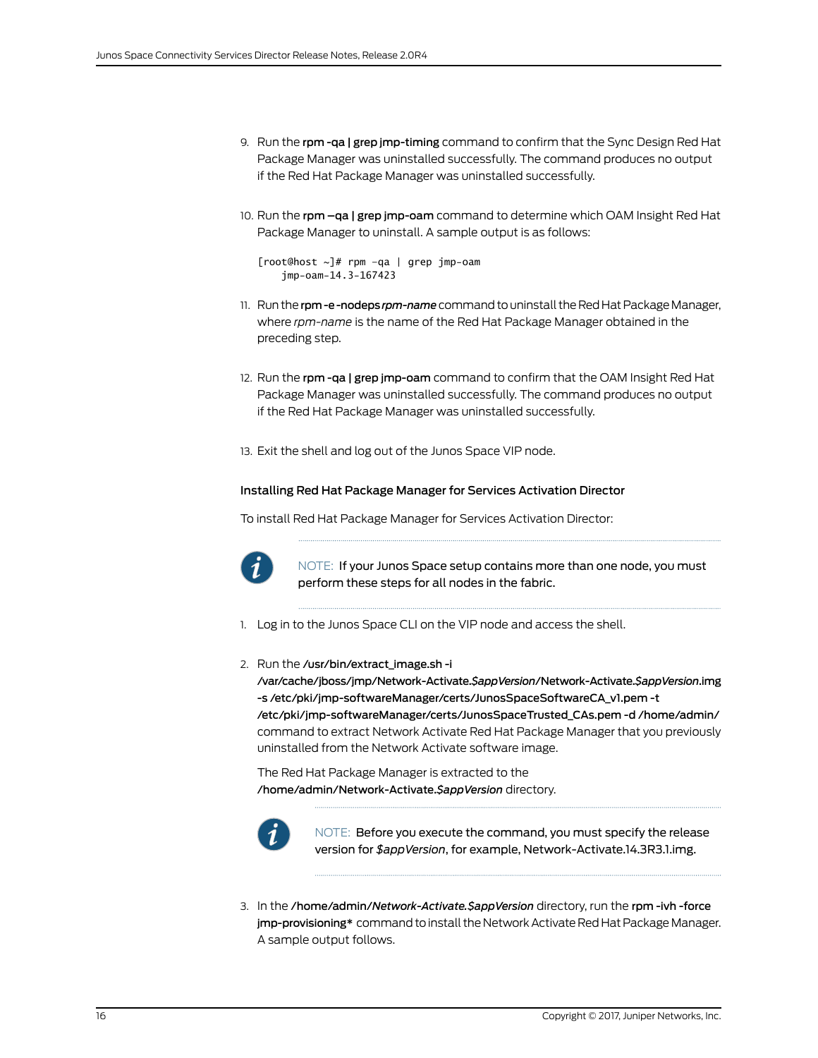- 9. Run the rpm -qa | grep jmp-timing command to confirm that the Sync Design Red Hat Package Manager was uninstalled successfully. The command produces no output if the Red Hat Package Manager was uninstalled successfully.
- 10. Run the rpm -qa | grep jmp-oam command to determine which OAM Insight Red Hat Package Manager to uninstall. A sample output is as follows:

```
[root@host ~]# rpm –qa | grep jmp-oam
    jmp-oam-14.3-167423
```
- 11. Run the rpm-e-nodeps *rpm-name* command to uninstall the Red Hat Package Manager, where *rpm-name* is the name of the Red Hat Package Manager obtained in the preceding step.
- 12. Run the rpm -qa | grep jmp-oam command to confirm that the OAM Insight Red Hat Package Manager was uninstalled successfully. The command produces no output if the Red Hat Package Manager was uninstalled successfully.
- 13. Exit the shell and log out of the Junos Space VIP node.

#### Installing Red Hat Package Manager for Services Activation Director

To install Red Hat Package Manager for Services Activation Director:



NOTE: If your Junos Space setup contains more than one node, you must perform these steps for all nodes in the fabric.

- 1. Log in to the Junos Space CLI on the VIP node and access the shell.
- 2. Run the /usr/bin/extract\_image.sh -i

/var/cache/jboss/jmp/Network-Activate.*\$appVersion*/Network-Activate.*\$appVersion*.img -s /etc/pki/jmp-softwareManager/certs/JunosSpaceSoftwareCA\_v1.pem -t /etc/pki/jmp-softwareManager/certs/JunosSpaceTrusted\_CAs.pem -d /home/admin/ command to extract Network Activate Red Hat Package Manager that you previously uninstalled from the Network Activate software image.

The Red Hat Package Manager is extracted to the /home/admin/Network-Activate.*\$appVersion* directory.



NOTE: Before you execute the command, you must specify the release version for *\$appVersion*, for example, Network-Activate.14.3R3.1.img.

3. In the /home/admin/*Network-Activate.\$appVersion* directory, run the rpm -ivh -force jmp-provisioning\* command to install the Network Activate Red Hat Package Manager. A sample output follows.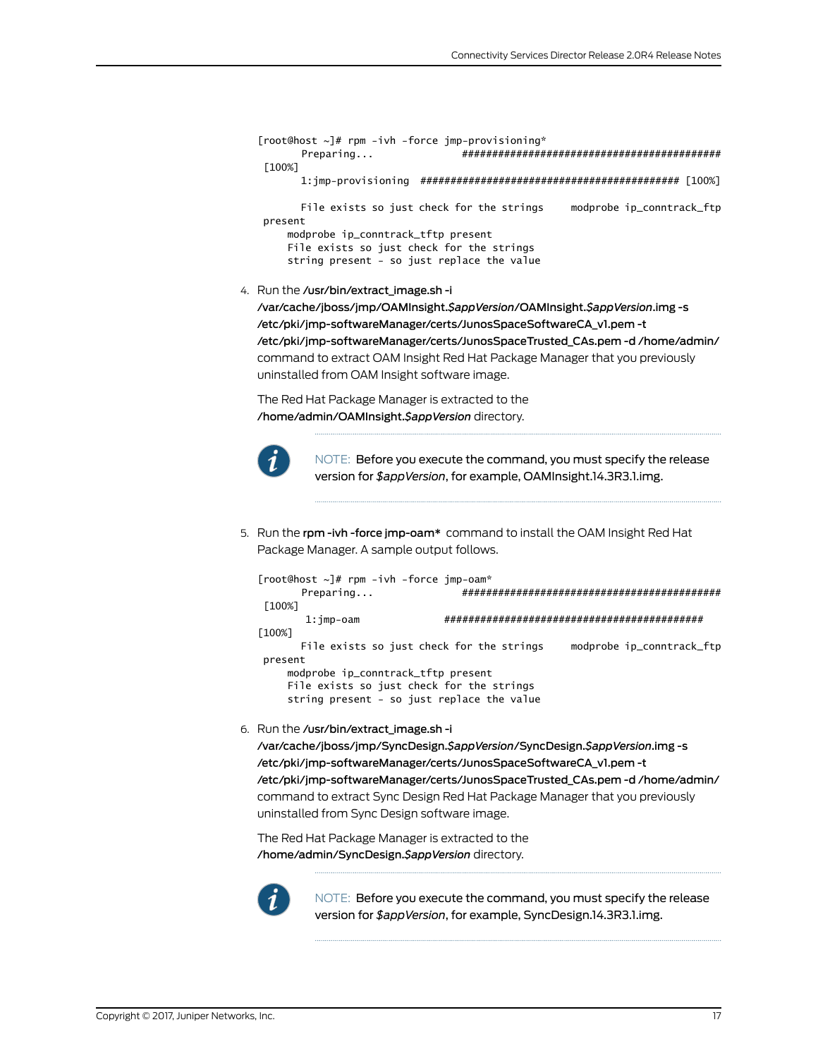```
[root@host ~]# rpm -ivh -force jmp-provisioning*
       Preparing... ###########################################
 [100%]
       1:jmp-provisioning ########################################### [100%]
      File exists so just check for the strings modprobe ip_conntrack_ftp
 present
     modprobe ip_conntrack_tftp present
     File exists so just check for the strings
     string present - so just replace the value
```
4. Run the /usr/bin/extract\_image.sh -i

/var/cache/jboss/jmp/OAMInsight.*\$appVersion*/OAMInsight.*\$appVersion*.img -s /etc/pki/jmp-softwareManager/certs/JunosSpaceSoftwareCA\_v1.pem -t /etc/pki/jmp-softwareManager/certs/JunosSpaceTrusted\_CAs.pem -d /home/admin/ command to extract OAM Insight Red Hat Package Manager that you previously uninstalled from OAM Insight software image.

The Red Hat Package Manager is extracted to the /home/admin/OAMInsight.*\$appVersion* directory.



NOTE: Before you execute the command, you must specify the release version for *\$appVersion*, for example, OAMInsight.14.3R3.1.img.

5. Run the rpm -ivh -force jmp-oam\* command to install the OAM Insight Red Hat Package Manager. A sample output follows.

| $[root@host ~]$ # rpm -ivh -force $jmp-oam*$ |                                           |
|----------------------------------------------|-------------------------------------------|
| Preparing                                    |                                           |
| [100%]                                       |                                           |
| $1:imp-oam$                                  | <i>++++++++++++++++++++++++++++++++++</i> |
| [100%]                                       |                                           |
| File exists so just check for the strings    | modprobe ip_conntrack_ftp                 |
| present                                      |                                           |
| modprobe ip_conntrack_tftp present           |                                           |
| File exists so just check for the strings    |                                           |
| string present - so just replace the value   |                                           |
|                                              |                                           |

6. Run the /usr/bin/extract\_image.sh -i

/var/cache/jboss/jmp/SyncDesign.*\$appVersion*/SyncDesign.*\$appVersion*.img -s /etc/pki/jmp-softwareManager/certs/JunosSpaceSoftwareCA\_v1.pem -t /etc/pki/jmp-softwareManager/certs/JunosSpaceTrusted\_CAs.pem -d /home/admin/ command to extract Sync Design Red Hat Package Manager that you previously uninstalled from Sync Design software image.

The Red Hat Package Manager is extracted to the /home/admin/SyncDesign.*\$appVersion* directory.



NOTE: Before you execute the command, you must specify the release version for *\$appVersion*, for example, SyncDesign.14.3R3.1.img.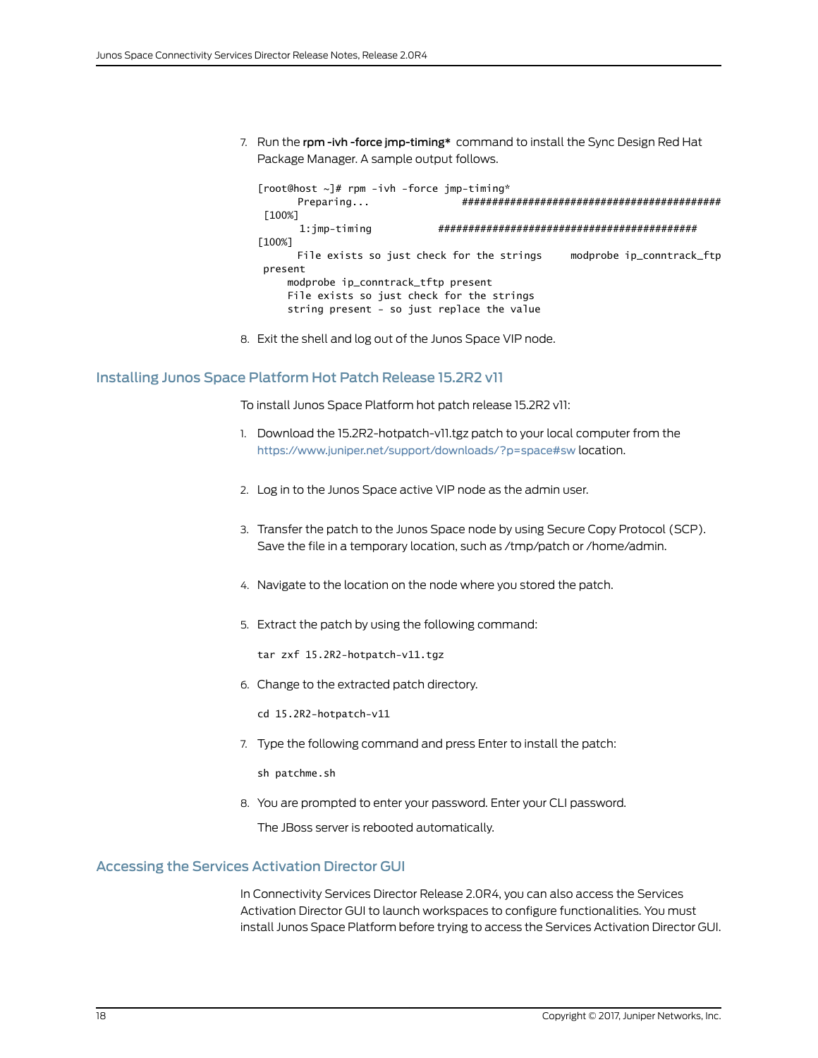7. Run the rpm -ivh -force jmp-timing\* command to install the Sync Design Red Hat Package Manager. A sample output follows.

```
[root@host ~]# rpm -ivh -force jmp-timing*
       Preparing... ###########################################
 [100%]
       1:jmp-timing ########################################### 
[100%]
      File exists so just check for the strings modprobe ip_conntrack_ftp
 present
     modprobe ip_conntrack_tftp present
     File exists so just check for the strings
     string present - so just replace the value
```
8. Exit the shell and log out of the Junos Space VIP node.

### <span id="page-17-0"></span>Installing Junos Space Platform Hot Patch Release 15.2R2 v11

To install Junos Space Platform hot patch release 15.2R2 v11:

- 1. Download the 15.2R2-hotpatch-v11.tgz patch to your local computer from the <https://www.juniper.net/support/downloads/?p=space#sw> location.
- 2. Log in to the Junos Space active VIP node as the admin user.
- 3. Transfer the patch to the Junos Space node by using Secure Copy Protocol (SCP). Save the file in a temporary location, such as /tmp/patch or /home/admin.
- 4. Navigate to the location on the node where you stored the patch.
- 5. Extract the patch by using the following command:

tar zxf 15.2R2-hotpatch-v11.tgz

6. Change to the extracted patch directory.

cd 15.2R2-hotpatch-v11

7. Type the following command and press Enter to install the patch:

sh patchme.sh

8. You are prompted to enter your password. Enter your CLI password.

The JBoss server is rebooted automatically.

### <span id="page-17-1"></span>Accessing the Services Activation Director GUI

In Connectivity Services Director Release 2.0R4, you can also access the Services Activation Director GUI to launch workspaces to configure functionalities. You must install Junos Space Platform before trying to access the Services Activation Director GUI.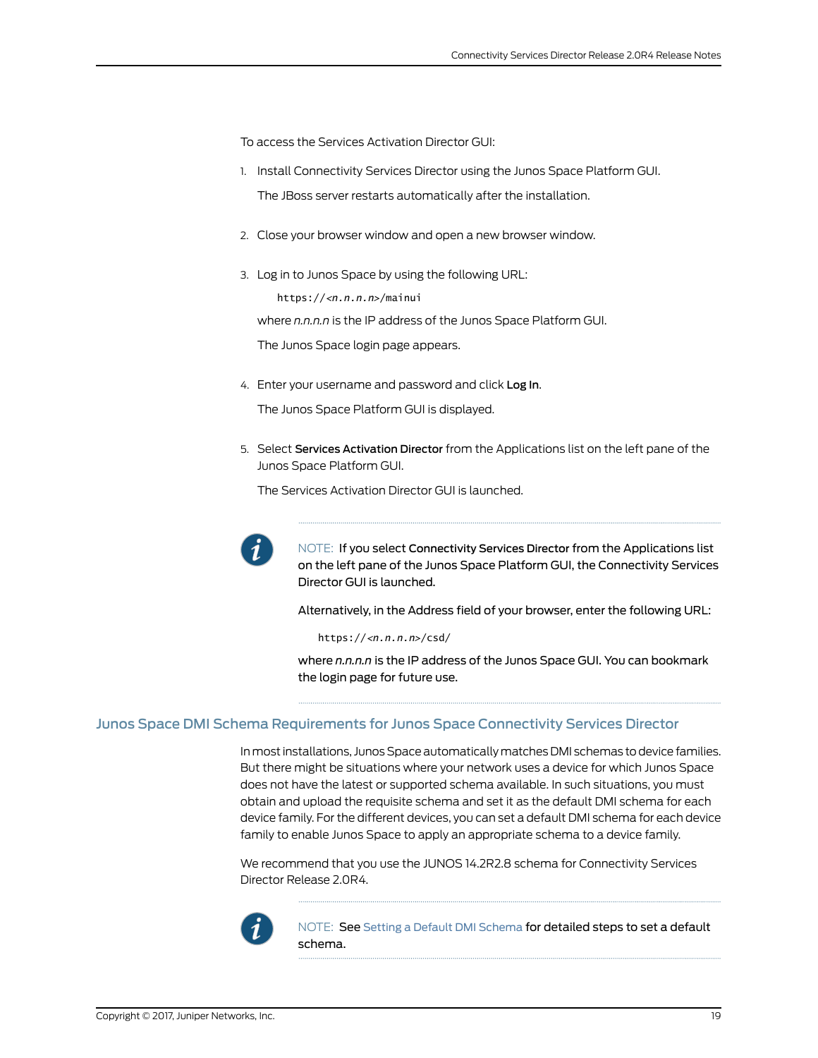To access the Services Activation Director GUI:

- 1. Install Connectivity Services Director using the Junos Space Platform GUI. The JBoss server restarts automatically after the installation.
- 2. Close your browser window and open a new browser window.
- 3. Log in to Junos Space by using the following URL:

https://*<n.n.n.n>*/mainui

where *n.n.n.n* is the IP address of the Junos Space Platform GUI.

The Junos Space login page appears.

4. Enter your username and password and click Log In.

The Junos Space Platform GUI is displayed.

5. Select Services Activation Director from the Applications list on the left pane of the Junos Space Platform GUI.

The Services Activation Director GUI is launched.



NOTE: If you select Connectivity Services Director from the Applications list on the left pane of the Junos Space Platform GUI, the Connectivity Services Director GUI is launched.

Alternatively, in the Address field of your browser, enter the following URL:

https://*<n.n.n.n>*/csd/

where *n.n.n.n* is the IP address of the Junos Space GUI. You can bookmark the login page for future use.

#### <span id="page-18-0"></span>Junos Space DMI Schema Requirements for Junos Space Connectivity Services Director

Inmost installations, Junos Space automaticallymatches DMI schemas todevice families. But there might be situations where your network uses a device for which Junos Space does not have the latest or supported schema available. In such situations, you must obtain and upload the requisite schema and set it as the default DMI schema for each device family. For the different devices, you can set a default DMI schema for each device family to enable Junos Space to apply an appropriate schema to a device family.

We recommend that you use the JUNOS 14.2R2.8 schema for Connectivity Services Director Release 2.0R4.



NOTE: See Setting a Default DMI [Schema](http://www.juniper.net/techpubs/en_US/junos-space15.1/platform/topics/task/configuration/junos-space-network-application-platform-schema-default-setting.html) for detailed steps to set a default schema.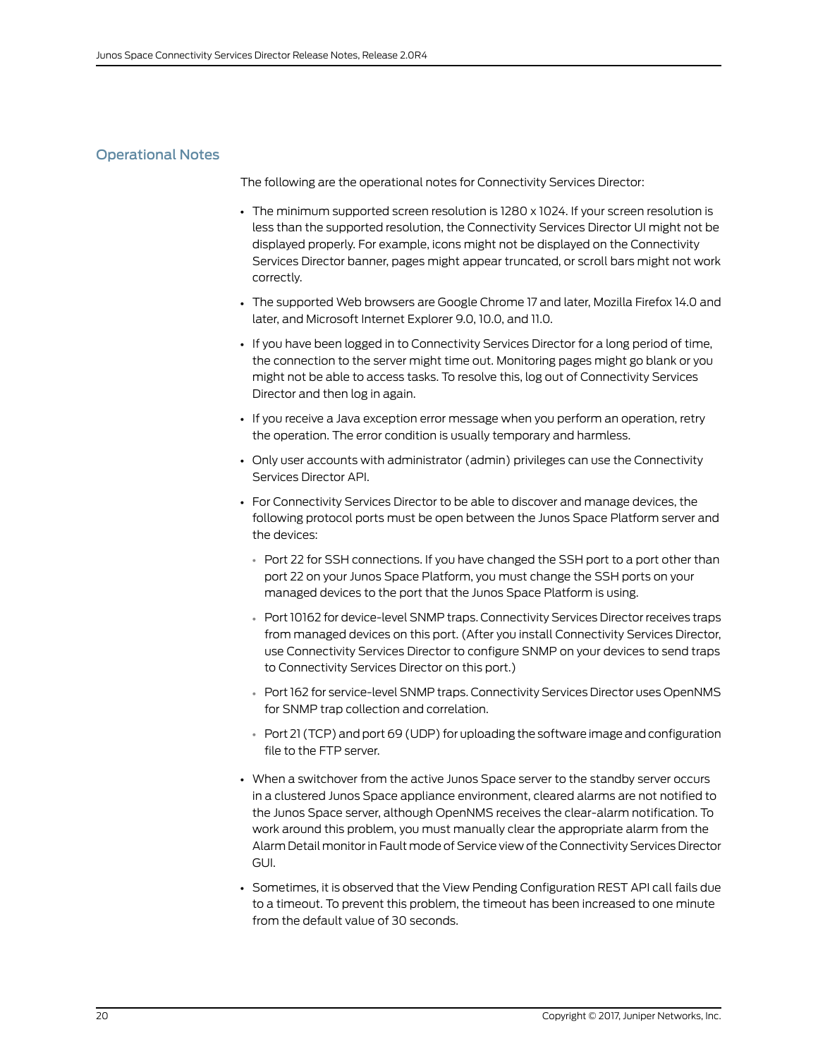# <span id="page-19-0"></span>Operational Notes

The following are the operational notes for Connectivity Services Director:

- The minimum supported screen resolution is 1280 x 1024. If your screen resolution is less than the supported resolution, the Connectivity Services Director UI might not be displayed properly. For example, icons might not be displayed on the Connectivity Services Director banner, pages might appear truncated, or scroll bars might not work correctly.
- The supported Web browsers are Google Chrome 17 and later, Mozilla Firefox 14.0 and later, and Microsoft Internet Explorer 9.0, 10.0, and 11.0.
- If you have been logged in to Connectivity Services Director for a long period of time, the connection to the server might time out. Monitoring pages might go blank or you might not be able to access tasks. To resolve this, log out of Connectivity Services Director and then log in again.
- If you receive a Java exception error message when you perform an operation, retry the operation. The error condition is usually temporary and harmless.
- Only user accounts with administrator (admin) privileges can use the Connectivity Services Director API.
- For Connectivity Services Director to be able to discover and manage devices, the following protocol ports must be open between the Junos Space Platform server and the devices:
	- Port 22 for SSH connections. If you have changed the SSH port to a port other than port 22 on your Junos Space Platform, you must change the SSH ports on your managed devices to the port that the Junos Space Platform is using.
	- Port 10162 for device-level SNMP traps. Connectivity Services Director receives traps from managed devices on this port. (After you install Connectivity Services Director, use Connectivity Services Director to configure SNMP on your devices to send traps to Connectivity Services Director on this port.)
	- Port 162 for service-level SNMP traps. Connectivity Services Director uses OpenNMS for SNMP trap collection and correlation.
	- Port 21 (TCP) and port 69 (UDP) for uploading the software image and configuration file to the FTP server.
- When a switchover from the active Junos Space server to the standby server occurs in a clustered Junos Space appliance environment, cleared alarms are not notified to the Junos Space server, although OpenNMS receives the clear-alarm notification. To work around this problem, you must manually clear the appropriate alarm from the Alarm Detail monitorin Fault mode of Service view of the Connectivity Services Director GUI.
- Sometimes, it is observed that the View Pending Configuration REST API call fails due to a timeout. To prevent this problem, the timeout has been increased to one minute from the default value of 30 seconds.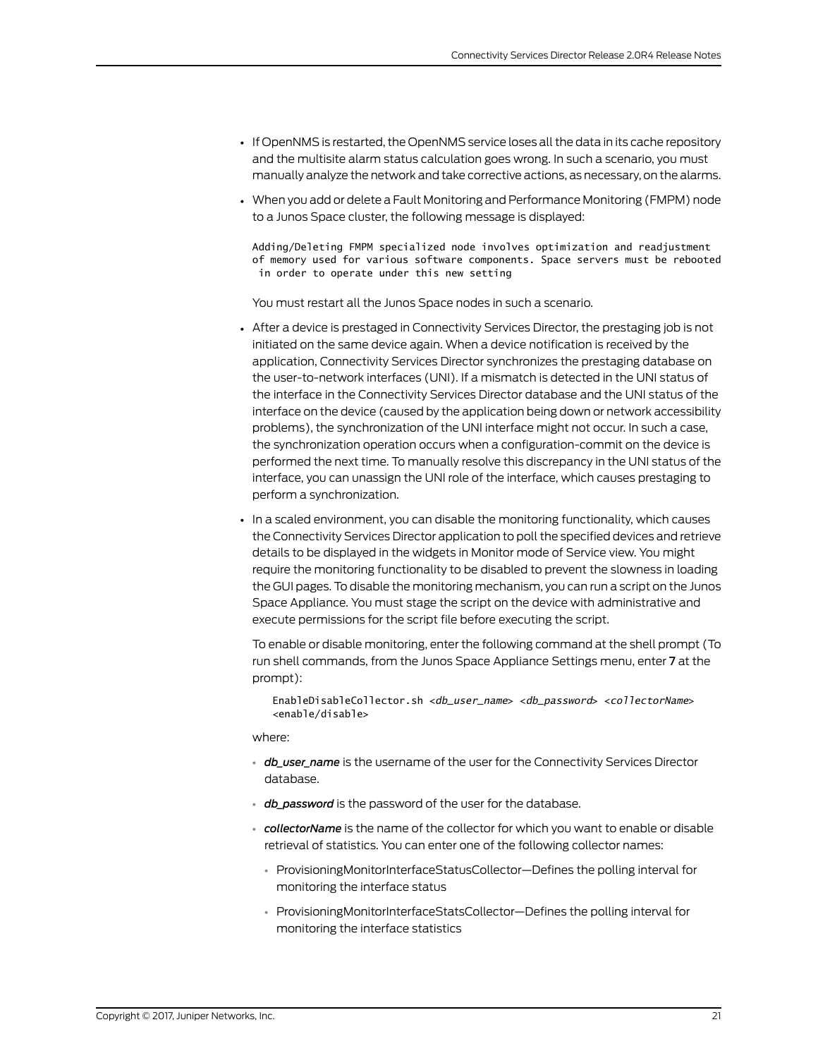- If OpenNMS is restarted, the OpenNMS service loses all the data in its cache repository and the multisite alarm status calculation goes wrong. In such a scenario, you must manually analyze the network and take corrective actions, as necessary, on the alarms.
- When you add or delete a Fault Monitoring and Performance Monitoring (FMPM) node to a Junos Space cluster, the following message is displayed:

Adding/Deleting FMPM specialized node involves optimization and readjustment of memory used for various software components. Space servers must be rebooted in order to operate under this new setting

You must restart all the Junos Space nodes in such a scenario.

- After a device is prestaged in Connectivity Services Director, the prestaging job is not initiated on the same device again. When a device notification is received by the application, Connectivity Services Director synchronizes the prestaging database on the user-to-network interfaces (UNI). If a mismatch is detected in the UNI status of the interface in the Connectivity Services Director database and the UNI status of the interface on the device (caused by the application being down or network accessibility problems), the synchronization of the UNI interface might not occur. In such a case, the synchronization operation occurs when a configuration-commit on the device is performed the next time. To manually resolve this discrepancy in the UNI status of the interface, you can unassign the UNI role of the interface, which causes prestaging to perform a synchronization.
- In a scaled environment, you can disable the monitoring functionality, which causes the Connectivity Services Director application to poll the specified devices and retrieve details to be displayed in the widgets in Monitor mode of Service view. You might require the monitoring functionality to be disabled to prevent the slowness in loading the GUI pages. To disable the monitoring mechanism, you can run a script on the Junos Space Appliance. You must stage the script on the device with administrative and execute permissions for the script file before executing the script.

To enable or disable monitoring, enter the following command at the shell prompt (To run shell commands, from the Junos Space Appliance Settings menu, enter 7 at the prompt):

EnableDisableCollector.sh <*db\_user\_name*> <*db\_password*> <*collectorName*> <enable/disable>

#### where:

- *db\_user\_name* is the username of the user for the Connectivity Services Director database.
- *db* password is the password of the user for the database.
- *collectorName* is the name of the collector for which you want to enable or disable retrieval of statistics. You can enter one of the following collector names:
	- ProvisioningMonitorInterfaceStatusCollector—Defines the polling interval for monitoring the interface status
	- ProvisioningMonitorInterfaceStatsCollector—Defines the polling interval for monitoring the interface statistics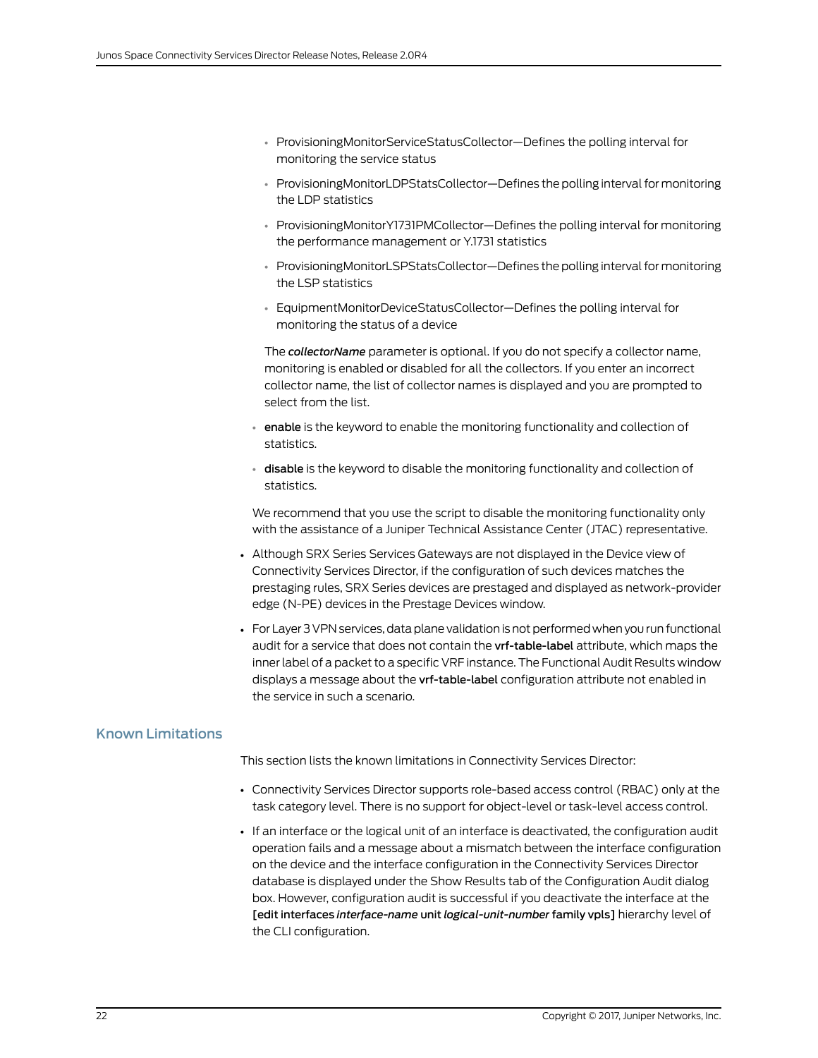- ProvisioningMonitorServiceStatusCollector—Defines the polling interval for monitoring the service status
- ProvisioningMonitorLDPStatsCollector-Defines the polling interval for monitoring the LDP statistics
- ProvisioningMonitorY1731PMCollector—Defines the polling interval for monitoring the performance management or Y.1731 statistics
- ProvisioningMonitorLSPStatsCollector-Defines the polling interval for monitoring the LSP statistics
- EquipmentMonitorDeviceStatusCollector—Defines the polling interval for monitoring the status of a device

The *collectorName* parameter is optional. If you do not specify a collector name, monitoring is enabled or disabled for all the collectors. If you enter an incorrect collector name, the list of collector names is displayed and you are prompted to select from the list.

- enable is the keyword to enable the monitoring functionality and collection of statistics.
- disable is the keyword to disable the monitoring functionality and collection of statistics.

We recommend that you use the script to disable the monitoring functionality only with the assistance of a Juniper Technical Assistance Center (JTAC) representative.

- Although SRX Series Services Gateways are not displayed in the Device view of Connectivity Services Director, if the configuration of such devices matches the prestaging rules, SRX Series devices are prestaged and displayed as network-provider edge (N-PE) devices in the Prestage Devices window.
- For Layer 3 VPN services, data plane validation is not performed when you run functional audit for a service that does not contain the vrf-table-label attribute, which maps the inner label of a packet to a specific VRF instance. The Functional Audit Results window displays a message about the vrf-table-label configuration attribute not enabled in the service in such a scenario.

# <span id="page-21-0"></span>Known Limitations

This section lists the known limitations in Connectivity Services Director:

- Connectivity Services Director supports role-based access control (RBAC) only at the task category level. There is no support for object-level or task-level access control.
- If an interface or the logical unit of an interface is deactivated, the configuration audit operation fails and a message about a mismatch between the interface configuration on the device and the interface configuration in the Connectivity Services Director database is displayed under the Show Results tab of the Configuration Audit dialog box. However, configuration audit is successful if you deactivate the interface at the [edit interfaces *interface-name* unit *logical-unit-number* family vpls] hierarchy level of the CLI configuration.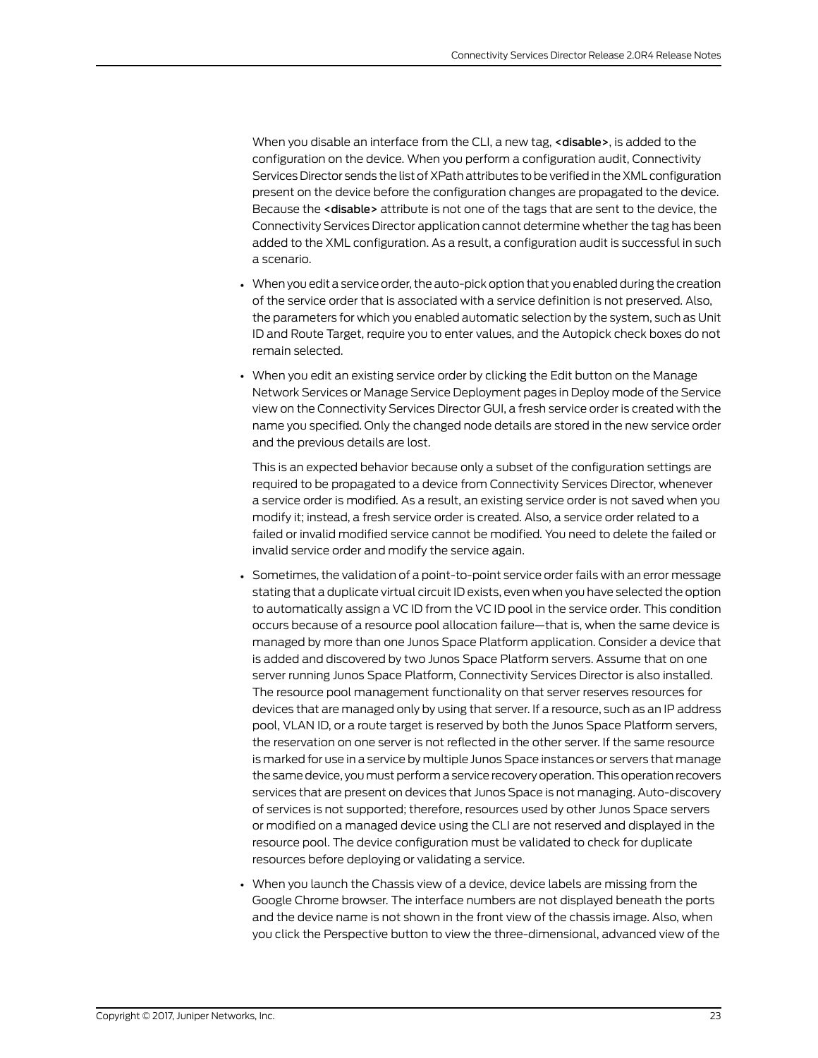When you disable an interface from the CLI, a new tag, <disable>, is added to the configuration on the device. When you perform a configuration audit, Connectivity Services Director sends the list of XPath attributes to be verified in the XML configuration present on the device before the configuration changes are propagated to the device. Because the <disable> attribute is not one of the tags that are sent to the device, the Connectivity Services Director application cannot determine whether the tag has been added to the XML configuration. As a result, a configuration audit is successful in such a scenario.

- When you edit a service order, the auto-pick option that you enabled during the creation of the service order that is associated with a service definition is not preserved. Also, the parameters for which you enabled automatic selection by the system, such as Unit ID and Route Target, require you to enter values, and the Autopick check boxes do not remain selected.
- When you edit an existing service order by clicking the Edit button on the Manage Network Services or Manage Service Deployment pages in Deploy mode of the Service view on the Connectivity Services Director GUI, a fresh service order is created with the name you specified. Only the changed node details are stored in the new service order and the previous details are lost.

This is an expected behavior because only a subset of the configuration settings are required to be propagated to a device from Connectivity Services Director, whenever a service order is modified. As a result, an existing service order is not saved when you modify it; instead, a fresh service order is created. Also, a service order related to a failed or invalid modified service cannot be modified. You need to delete the failed or invalid service order and modify the service again.

- Sometimes, the validation of a point-to-point service order fails with an error message stating that a duplicate virtual circuit ID exists, even when you have selected the option to automatically assign a VC ID from the VC ID pool in the service order. This condition occurs because of a resource pool allocation failure—that is, when the same device is managed by more than one Junos Space Platform application. Consider a device that is added and discovered by two Junos Space Platform servers. Assume that on one server running Junos Space Platform, Connectivity Services Director is also installed. The resource pool management functionality on that server reserves resources for devices that are managed only by using that server. If a resource, such as an IP address pool, VLAN ID, or a route target is reserved by both the Junos Space Platform servers, the reservation on one server is not reflected in the other server. If the same resource is marked for use in a service by multiple Junos Space instances or servers that manage the same device, you must perform a service recovery operation. This operation recovers services that are present on devices that Junos Space is not managing. Auto-discovery of services is not supported; therefore, resources used by other Junos Space servers or modified on a managed device using the CLI are not reserved and displayed in the resource pool. The device configuration must be validated to check for duplicate resources before deploying or validating a service.
- When you launch the Chassis view of a device, device labels are missing from the Google Chrome browser. The interface numbers are not displayed beneath the ports and the device name is not shown in the front view of the chassis image. Also, when you click the Perspective button to view the three-dimensional, advanced view of the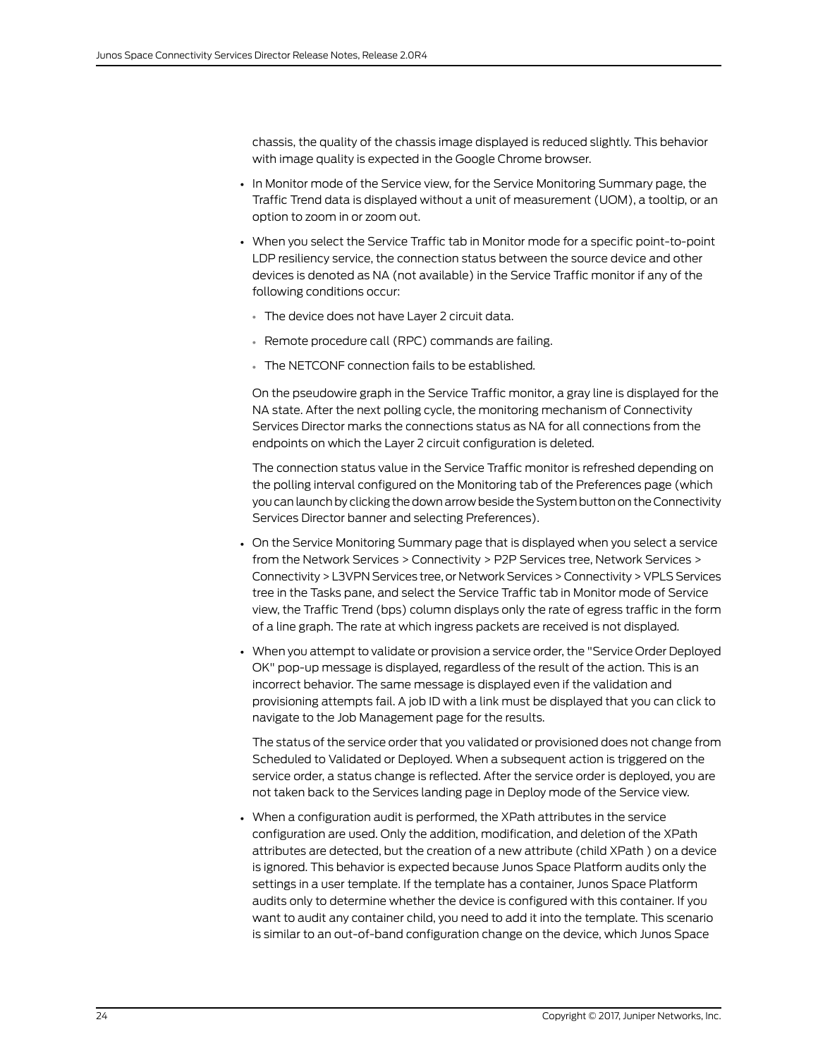chassis, the quality of the chassis image displayed is reduced slightly. This behavior with image quality is expected in the Google Chrome browser.

- In Monitor mode of the Service view, for the Service Monitoring Summary page, the Traffic Trend data is displayed without a unit of measurement (UOM), a tooltip, or an option to zoom in or zoom out.
- When you select the Service Traffic tab in Monitor mode for a specific point-to-point LDP resiliency service, the connection status between the source device and other devices is denoted as NA (not available) in the Service Traffic monitor if any of the following conditions occur:
	- The device does not have Layer 2 circuit data.
	- Remote procedure call (RPC) commands are failing.
	- The NETCONF connection fails to be established.

On the pseudowire graph in the Service Traffic monitor, a gray line is displayed for the NA state. After the next polling cycle, the monitoring mechanism of Connectivity Services Director marks the connections status as NA for all connections from the endpoints on which the Layer 2 circuit configuration is deleted.

The connection status value in the Service Traffic monitor is refreshed depending on the polling interval configured on the Monitoring tab of the Preferences page (which you can launch by clicking the down arrow beside the System button on the Connectivity Services Director banner and selecting Preferences).

- On the Service Monitoring Summary page that is displayed when you select a service from the Network Services > Connectivity > P2P Services tree, Network Services > Connectivity>L3VPN Services tree, or Network Services> Connectivity> VPLS Services tree in the Tasks pane, and select the Service Traffic tab in Monitor mode of Service view, the Traffic Trend (bps) column displays only the rate of egress traffic in the form of a line graph. The rate at which ingress packets are received is not displayed.
- When you attempt to validate or provision a service order, the "Service Order Deployed OK" pop-up message is displayed, regardless of the result of the action. This is an incorrect behavior. The same message is displayed even if the validation and provisioning attempts fail. A job ID with a link must be displayed that you can click to navigate to the Job Management page for the results.

The status of the service order that you validated or provisioned does not change from Scheduled to Validated or Deployed. When a subsequent action is triggered on the service order, a status change is reflected. After the service order is deployed, you are not taken back to the Services landing page in Deploy mode of the Service view.

• When a configuration audit is performed, the XPath attributes in the service configuration are used. Only the addition, modification, and deletion of the XPath attributes are detected, but the creation of a new attribute (child XPath ) on a device is ignored. This behavior is expected because Junos Space Platform audits only the settings in a user template. If the template has a container, Junos Space Platform audits only to determine whether the device is configured with this container. If you want to audit any container child, you need to add it into the template. This scenario is similar to an out-of-band configuration change on the device, which Junos Space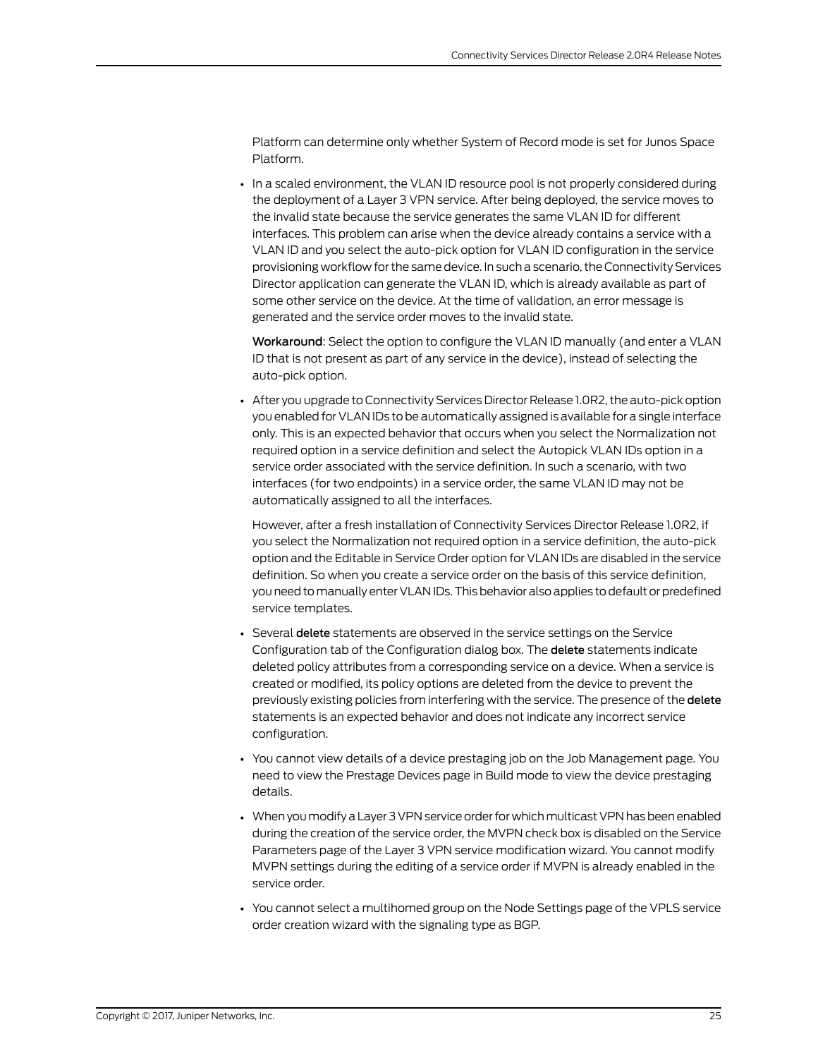Platform can determine only whether System of Record mode is set for Junos Space Platform.

• In a scaled environment, the VLAN ID resource pool is not properly considered during the deployment of a Layer 3 VPN service. After being deployed, the service moves to the invalid state because the service generates the same VLAN ID for different interfaces. This problem can arise when the device already contains a service with a VLAN ID and you select the auto-pick option for VLAN ID configuration in the service provisioning workflow for the same device. In such a scenario, the Connectivity Services Director application can generate the VLAN ID, which is already available as part of some other service on the device. At the time of validation, an error message is generated and the service order moves to the invalid state.

Workaround: Select the option to configure the VLAN ID manually (and enter a VLAN ID that is not present as part of any service in the device), instead of selecting the auto-pick option.

• After you upgrade to Connectivity Services Director Release 1.0R2, the auto-pick option you enabled for VLAN IDs to be automatically assigned is available for a single interface only. This is an expected behavior that occurs when you select the Normalization not required option in a service definition and select the Autopick VLAN IDs option in a service order associated with the service definition. In such a scenario, with two interfaces (for two endpoints) in a service order, the same VLAN ID may not be automatically assigned to all the interfaces.

However, after a fresh installation of Connectivity Services Director Release 1.0R2, if you select the Normalization not required option in a service definition, the auto-pick option and the Editable in Service Order option for VLAN IDs are disabled in the service definition. So when you create a service order on the basis of this service definition, you need to manually enter VLAN IDs. This behavior also applies to default or predefined service templates.

- Several delete statements are observed in the service settings on the Service Configuration tab of the Configuration dialog box. The delete statements indicate deleted policy attributes from a corresponding service on a device. When a service is created or modified, its policy options are deleted from the device to prevent the previously existing policies from interfering with the service. The presence of the delete statements is an expected behavior and does not indicate any incorrect service configuration.
- You cannot view details of a device prestaging job on the Job Management page. You need to view the Prestage Devices page in Build mode to view the device prestaging details.
- When you modify a Layer 3 VPN service order for which multicast VPN has been enabled during the creation of the service order, the MVPN check box is disabled on the Service Parameters page of the Layer 3 VPN service modification wizard. You cannot modify MVPN settings during the editing of a service order if MVPN is already enabled in the service order.
- You cannot select a multihomed group on the Node Settings page of the VPLS service order creation wizard with the signaling type as BGP.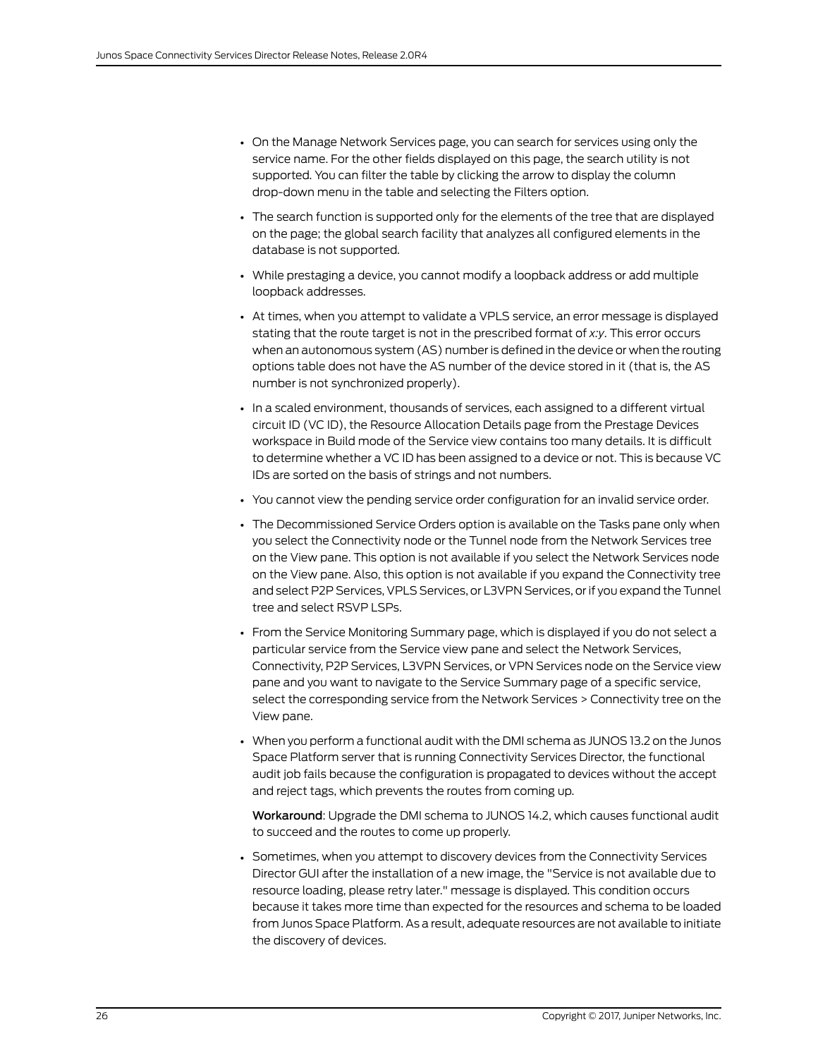- On the Manage Network Services page, you can search for services using only the service name. For the other fields displayed on this page, the search utility is not supported. You can filter the table by clicking the arrow to display the column drop-down menu in the table and selecting the Filters option.
- The search function is supported only for the elements of the tree that are displayed on the page; the global search facility that analyzes all configured elements in the database is not supported.
- While prestaging a device, you cannot modify a loopback address or add multiple loopback addresses.
- At times, when you attempt to validate a VPLS service, an error message is displayed stating that the route target is not in the prescribed format of *x:y*. This error occurs when an autonomous system (AS) number is defined in the device or when the routing options table does not have the AS number of the device stored in it (that is, the AS number is not synchronized properly).
- In a scaled environment, thousands of services, each assigned to a different virtual circuit ID (VC ID), the Resource Allocation Details page from the Prestage Devices workspace in Build mode of the Service view contains too many details. It is difficult to determine whether a VC ID has been assigned to a device or not. This is because VC IDs are sorted on the basis of strings and not numbers.
- You cannot view the pending service order configuration for an invalid service order.
- The Decommissioned Service Orders option is available on the Tasks pane only when you select the Connectivity node or the Tunnel node from the Network Services tree on the View pane. This option is not available if you select the Network Services node on the View pane. Also, this option is not available if you expand the Connectivity tree and select P2P Services, VPLS Services, or L3VPN Services, or if you expand the Tunnel tree and select RSVP LSPs.
- From the Service Monitoring Summary page, which is displayed if you do not select a particular service from the Service view pane and select the Network Services, Connectivity, P2P Services, L3VPN Services, or VPN Services node on the Service view pane and you want to navigate to the Service Summary page of a specific service, select the corresponding service from the Network Services > Connectivity tree on the View pane.
- When you perform a functional audit with the DMI schema as JUNOS 13.2 on the Junos Space Platform server that is running Connectivity Services Director, the functional audit job fails because the configuration is propagated to devices without the accept and reject tags, which prevents the routes from coming up.

Workaround: Upgrade the DMI schema to JUNOS 14.2, which causes functional audit to succeed and the routes to come up properly.

• Sometimes, when you attempt to discovery devices from the Connectivity Services Director GUI after the installation of a new image, the "Service is not available due to resource loading, please retry later." message is displayed. This condition occurs because it takes more time than expected for the resources and schema to be loaded from Junos Space Platform. As a result, adequate resources are not available to initiate the discovery of devices.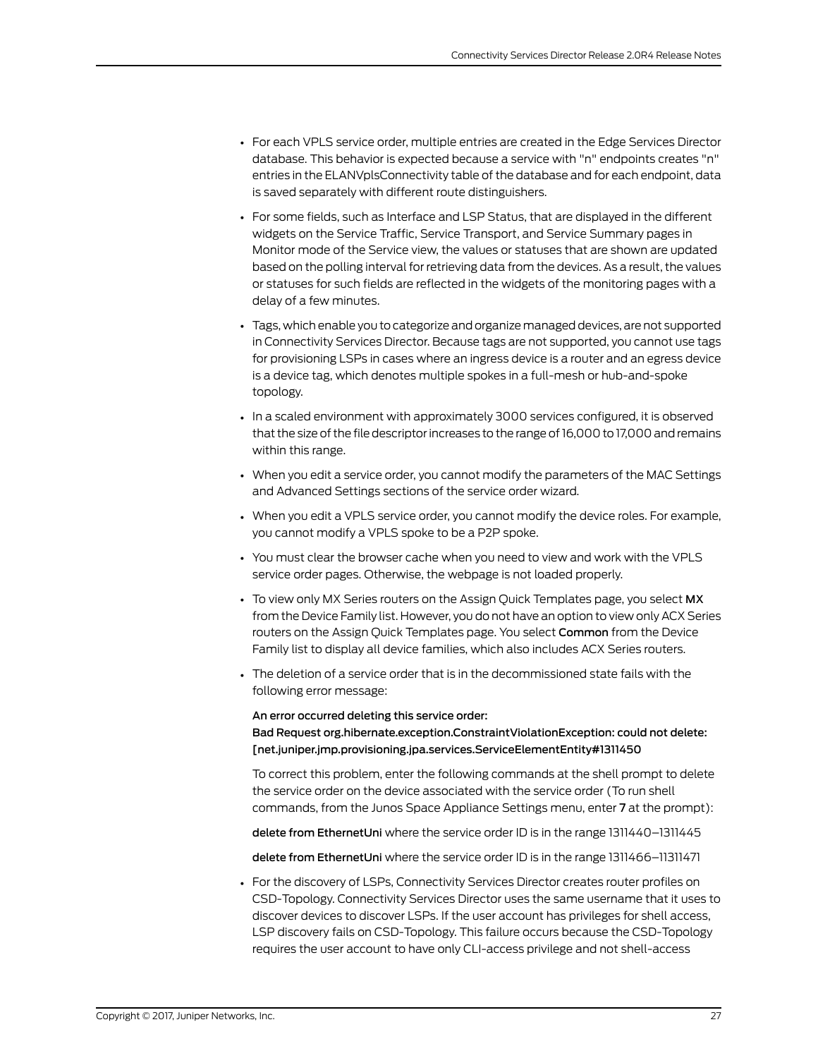- For each VPLS service order, multiple entries are created in the Edge Services Director database. This behavior is expected because a service with "n" endpoints creates "n" entries in the ELANVplsConnectivity table of the database and for each endpoint, data is saved separately with different route distinguishers.
- For some fields, such as Interface and LSP Status, that are displayed in the different widgets on the Service Traffic, Service Transport, and Service Summary pages in Monitor mode of the Service view, the values or statuses that are shown are updated based on the polling interval for retrieving data from the devices. As a result, the values or statuses for such fields are reflected in the widgets of the monitoring pages with a delay of a few minutes.
- Tags, which enable you to categorize and organizemanaged devices, are not supported in Connectivity Services Director. Because tags are not supported, you cannot use tags for provisioning LSPs in cases where an ingress device is a router and an egress device is a device tag, which denotes multiple spokes in a full-mesh or hub-and-spoke topology.
- In a scaled environment with approximately 3000 services configured, it is observed that the size of the file descriptor increases to the range of 16,000 to 17,000 and remains within this range.
- When you edit a service order, you cannot modify the parameters of the MAC Settings and Advanced Settings sections of the service order wizard.
- When you edit a VPLS service order, you cannot modify the device roles. For example, you cannot modify a VPLS spoke to be a P2P spoke.
- You must clear the browser cache when you need to view and work with the VPLS service order pages. Otherwise, the webpage is not loaded properly.
- To view only MX Series routers on the Assign Quick Templates page, you select MX from the Device Family list. However, you do not have an option to view only ACX Series routers on the Assign Quick Templates page. You select Common from the Device Family list to display all device families, which also includes ACX Series routers.
- The deletion of a service order that is in the decommissioned state fails with the following error message:

## An error occurred deleting this service order: Bad Request org.hibernate.exception.ConstraintViolationException: could not delete: [net.juniper.jmp.provisioning.jpa.services.ServiceElementEntity#1311450

To correct this problem, enter the following commands at the shell prompt to delete the service order on the device associated with the service order (To run shell commands, from the Junos Space Appliance Settings menu, enter 7 at the prompt):

delete from EthernetUni where the service order ID is in the range 1311440–1311445

delete from EthernetUni where the service order ID is in the range 1311466–11311471

• For the discovery of LSPs, Connectivity Services Director creates router profiles on CSD-Topology. Connectivity Services Director uses the same username that it uses to discover devices to discover LSPs. If the user account has privileges for shell access, LSP discovery fails on CSD-Topology. This failure occurs because the CSD-Topology requires the user account to have only CLI-access privilege and not shell-access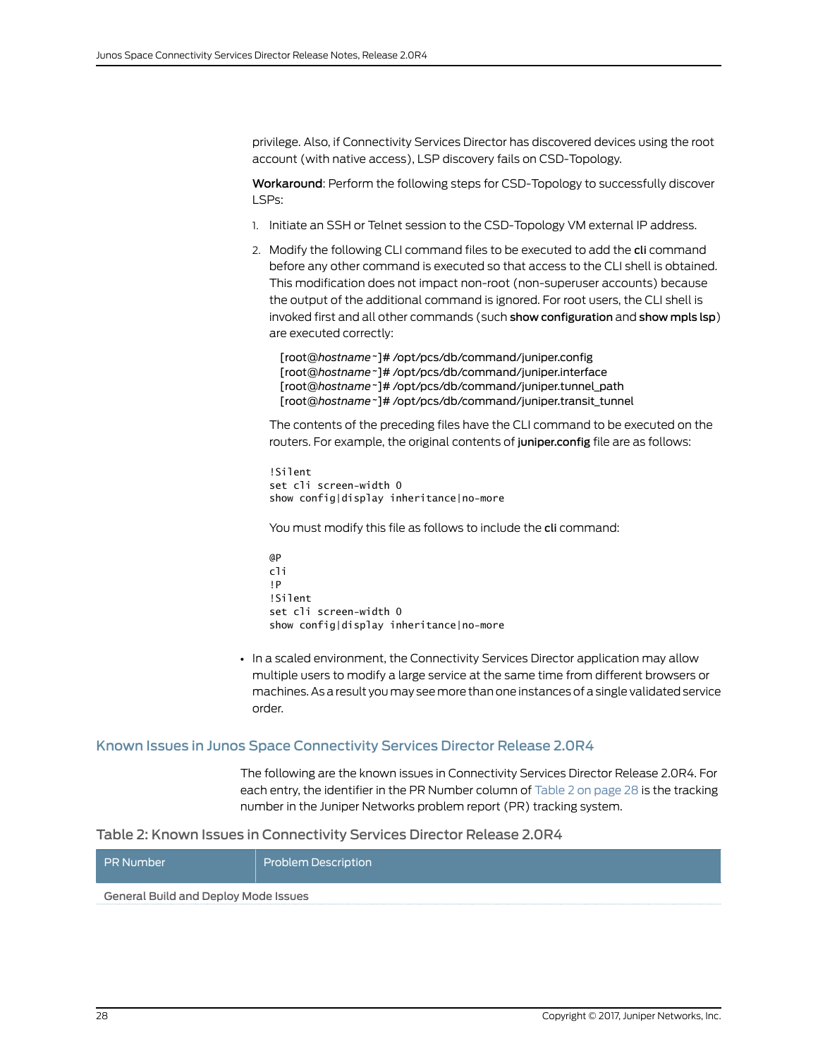privilege. Also, if Connectivity Services Director has discovered devices using the root account (with native access), LSP discovery fails on CSD-Topology.

Workaround: Perform the following steps for CSD-Topology to successfully discover LSPs:

- 1. Initiate an SSH or Telnet session to the CSD-Topology VM external IP address.
- 2. Modify the following CLI command files to be executed to add the cli command before any other command is executed so that access to the CLI shell is obtained. This modification does not impact non-root (non-superuser accounts) because the output of the additional command is ignored. For root users, the CLI shell is invoked first and all other commands (such show configuration and show mpls lsp) are executed correctly:

[root@*hostname~*]# /opt/pcs/db/command/juniper.config [root@*hostname~*]# /opt/pcs/db/command/juniper.interface [root@*hostname~*]# /opt/pcs/db/command/juniper.tunnel\_path [root@*hostname~*]# /opt/pcs/db/command/juniper.transit\_tunnel

The contents of the preceding files have the CLI command to be executed on the routers. For example, the original contents of juniper.config file are as follows:

!Silent set cli screen-width 0 show config|display inheritance|no-more

You must modify this file as follows to include the cli command:

@P cli !P !Silent set cli screen-width 0 show config|display inheritance|no-more

• In a scaled environment, the Connectivity Services Director application may allow multiple users to modify a large service at the same time from different browsers or machines. As a result you may see more than one instances of a single validated service order.

#### <span id="page-27-0"></span>Known Issues in Junos Space Connectivity Services Director Release 2.0R4

<span id="page-27-1"></span>The following are the known issues in Connectivity Services Director Release 2.0R4. For each entry, the identifier in the PR Number column of [Table](#page-27-1) 2 on page 28 is the tracking number in the Juniper Networks problem report (PR) tracking system.

#### Table 2: Known Issues in Connectivity Services Director Release 2.0R4

| <b>PR Number</b>                     | <b>Problem Description</b> |  |
|--------------------------------------|----------------------------|--|
| General Build and Deploy Mode Issues |                            |  |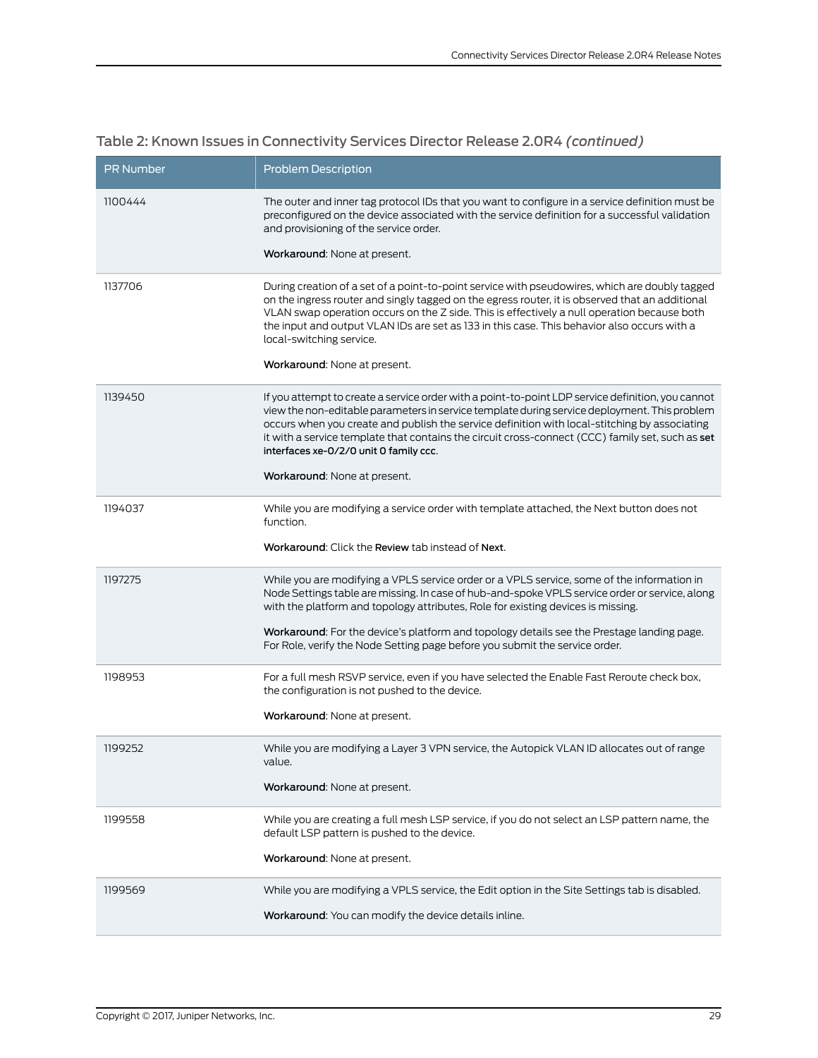| <b>PR Number</b> | <b>Problem Description</b>                                                                                                                                                                                                                                                                                                                                                                                                                       |
|------------------|--------------------------------------------------------------------------------------------------------------------------------------------------------------------------------------------------------------------------------------------------------------------------------------------------------------------------------------------------------------------------------------------------------------------------------------------------|
| 1100444          | The outer and inner tag protocol IDs that you want to configure in a service definition must be<br>preconfigured on the device associated with the service definition for a successful validation<br>and provisioning of the service order.                                                                                                                                                                                                      |
|                  | Workaround: None at present.                                                                                                                                                                                                                                                                                                                                                                                                                     |
| 1137706          | During creation of a set of a point-to-point service with pseudowires, which are doubly tagged<br>on the ingress router and singly tagged on the egress router, it is observed that an additional<br>VLAN swap operation occurs on the Z side. This is effectively a null operation because both<br>the input and output VLAN IDs are set as 133 in this case. This behavior also occurs with a<br>local-switching service.                      |
|                  | Workaround: None at present.                                                                                                                                                                                                                                                                                                                                                                                                                     |
| 1139450          | If you attempt to create a service order with a point-to-point LDP service definition, you cannot<br>view the non-editable parameters in service template during service deployment. This problem<br>occurs when you create and publish the service definition with local-stitching by associating<br>it with a service template that contains the circuit cross-connect (CCC) family set, such as set<br>interfaces xe-0/2/0 unit 0 family ccc. |
|                  | Workaround: None at present.                                                                                                                                                                                                                                                                                                                                                                                                                     |
| 1194037          | While you are modifying a service order with template attached, the Next button does not<br>function.                                                                                                                                                                                                                                                                                                                                            |
|                  | Workaround: Click the Review tab instead of Next.                                                                                                                                                                                                                                                                                                                                                                                                |
| 1197275          | While you are modifying a VPLS service order or a VPLS service, some of the information in<br>Node Settings table are missing. In case of hub-and-spoke VPLS service order or service, along<br>with the platform and topology attributes, Role for existing devices is missing.                                                                                                                                                                 |
|                  | Workaround: For the device's platform and topology details see the Prestage landing page.<br>For Role, verify the Node Setting page before you submit the service order.                                                                                                                                                                                                                                                                         |
| 1198953          | For a full mesh RSVP service, even if you have selected the Enable Fast Reroute check box,<br>the configuration is not pushed to the device.                                                                                                                                                                                                                                                                                                     |
|                  | Workaround: None at present.                                                                                                                                                                                                                                                                                                                                                                                                                     |
| 1199252          | While you are modifying a Layer 3 VPN service, the Autopick VLAN ID allocates out of range<br>value.                                                                                                                                                                                                                                                                                                                                             |
|                  | Workaround: None at present.                                                                                                                                                                                                                                                                                                                                                                                                                     |
| 1199558          | While you are creating a full mesh LSP service, if you do not select an LSP pattern name, the<br>default LSP pattern is pushed to the device.                                                                                                                                                                                                                                                                                                    |
|                  | Workaround: None at present.                                                                                                                                                                                                                                                                                                                                                                                                                     |
| 1199569          | While you are modifying a VPLS service, the Edit option in the Site Settings tab is disabled.                                                                                                                                                                                                                                                                                                                                                    |
|                  | Workaround: You can modify the device details inline.                                                                                                                                                                                                                                                                                                                                                                                            |

# Table 2: Known Issues in Connectivity Services Director Release 2.0R4 *(continued)*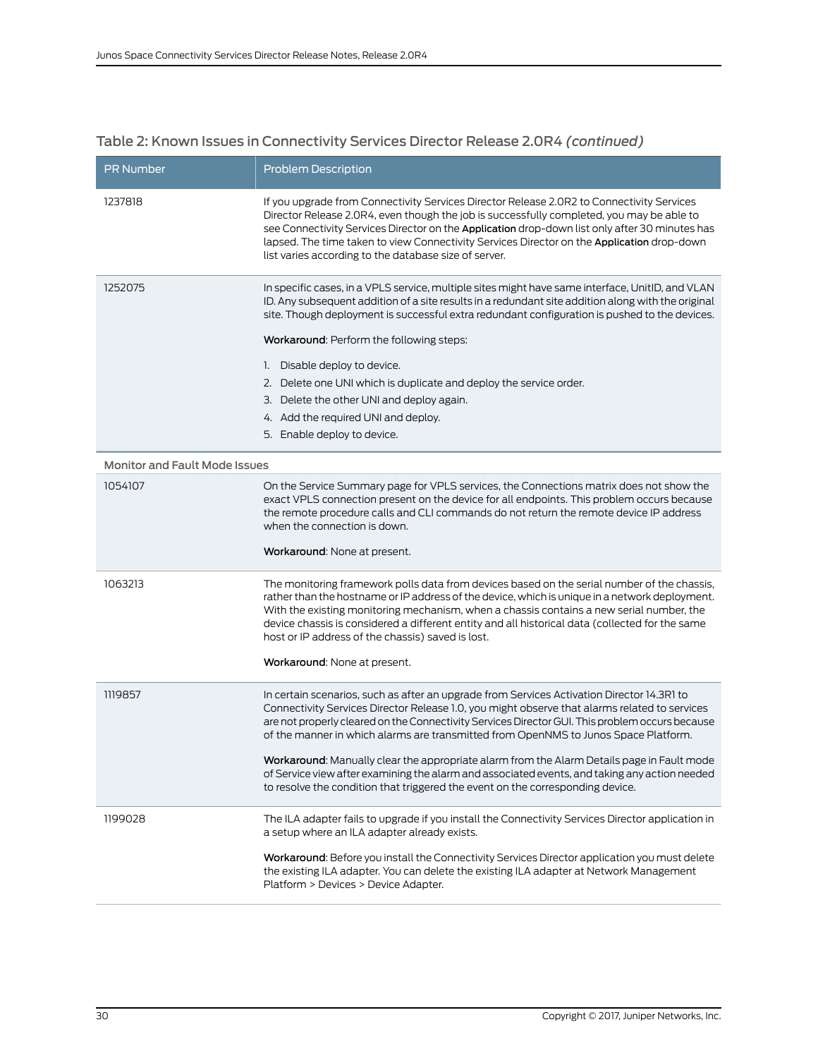| Table 2: Known Issues in Connectivity Services Director Release 2.0R4 (continued) |  |  |
|-----------------------------------------------------------------------------------|--|--|
|                                                                                   |  |  |

| <b>PR Number</b>                     | <b>Problem Description</b>                                                                                                                                                                                                                                                                                                                                                                                                                        |
|--------------------------------------|---------------------------------------------------------------------------------------------------------------------------------------------------------------------------------------------------------------------------------------------------------------------------------------------------------------------------------------------------------------------------------------------------------------------------------------------------|
| 1237818                              | If you upgrade from Connectivity Services Director Release 2.0R2 to Connectivity Services<br>Director Release 2.0R4, even though the job is successfully completed, you may be able to<br>see Connectivity Services Director on the Application drop-down list only after 30 minutes has<br>lapsed. The time taken to view Connectivity Services Director on the Application drop-down<br>list varies according to the database size of server.   |
| 1252075                              | In specific cases, in a VPLS service, multiple sites might have same interface, UnitID, and VLAN<br>ID. Any subsequent addition of a site results in a redundant site addition along with the original<br>site. Though deployment is successful extra redundant configuration is pushed to the devices.<br>Workaround: Perform the following steps:<br>1. Disable deploy to device.                                                               |
|                                      | 2. Delete one UNI which is duplicate and deploy the service order.                                                                                                                                                                                                                                                                                                                                                                                |
|                                      | 3. Delete the other UNI and deploy again.                                                                                                                                                                                                                                                                                                                                                                                                         |
|                                      | 4. Add the required UNI and deploy.                                                                                                                                                                                                                                                                                                                                                                                                               |
|                                      | 5. Enable deploy to device.                                                                                                                                                                                                                                                                                                                                                                                                                       |
| <b>Monitor and Fault Mode Issues</b> |                                                                                                                                                                                                                                                                                                                                                                                                                                                   |
| 1054107                              | On the Service Summary page for VPLS services, the Connections matrix does not show the<br>exact VPLS connection present on the device for all endpoints. This problem occurs because<br>the remote procedure calls and CLI commands do not return the remote device IP address<br>when the connection is down.<br>Workaround: None at present.                                                                                                   |
|                                      |                                                                                                                                                                                                                                                                                                                                                                                                                                                   |
| 1063213                              | The monitoring framework polls data from devices based on the serial number of the chassis,<br>rather than the hostname or IP address of the device, which is unique in a network deployment.<br>With the existing monitoring mechanism, when a chassis contains a new serial number, the<br>device chassis is considered a different entity and all historical data (collected for the same<br>host or IP address of the chassis) saved is lost. |
|                                      | Workaround: None at present.                                                                                                                                                                                                                                                                                                                                                                                                                      |
| 1119857                              | In certain scenarios, such as after an upgrade from Services Activation Director 14.3R1 to<br>Connectivity Services Director Release 1.0, you might observe that alarms related to services<br>are not properly cleared on the Connectivity Services Director GUI. This problem occurs because<br>of the manner in which alarms are transmitted from OpenNMS to Junos Space Platform.                                                             |
|                                      | Workaround: Manually clear the appropriate alarm from the Alarm Details page in Fault mode<br>of Service view after examining the alarm and associated events, and taking any action needed<br>to resolve the condition that triggered the event on the corresponding device.                                                                                                                                                                     |
| 1199028                              | The ILA adapter fails to upgrade if you install the Connectivity Services Director application in<br>a setup where an ILA adapter already exists.                                                                                                                                                                                                                                                                                                 |
|                                      | Workaround: Before you install the Connectivity Services Director application you must delete<br>the existing ILA adapter. You can delete the existing ILA adapter at Network Management<br>Platform > Devices > Device Adapter.                                                                                                                                                                                                                  |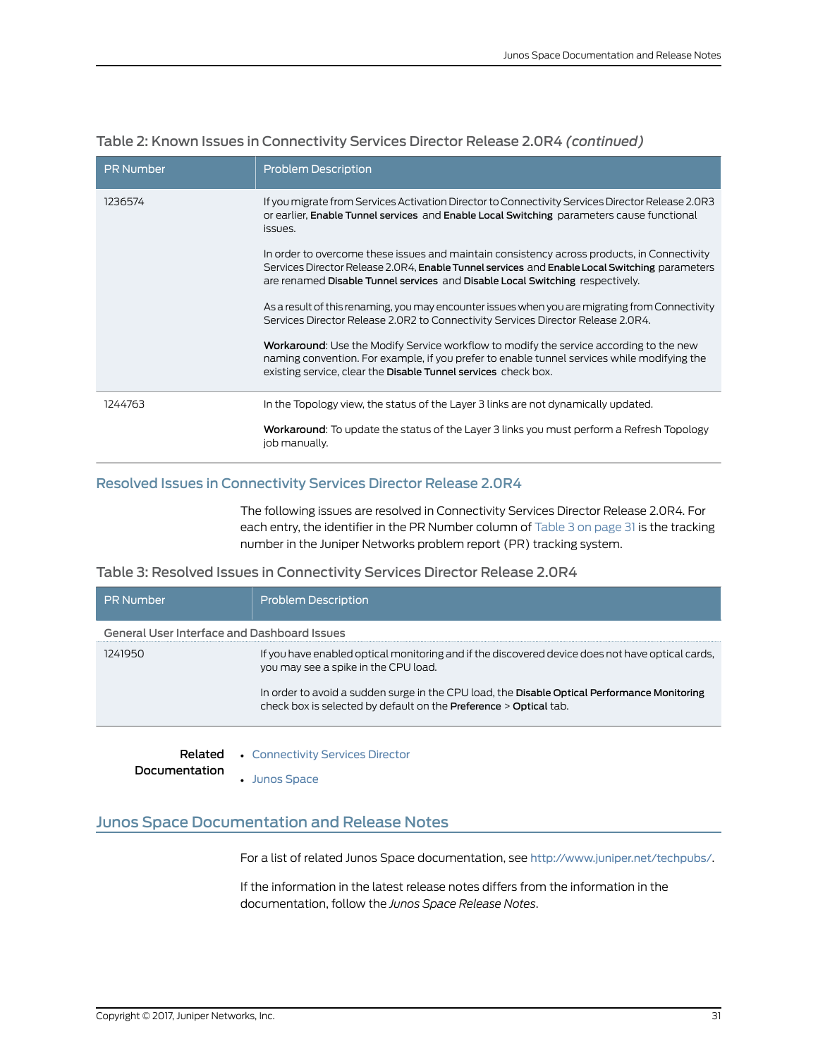| <b>PR</b> Number | <b>Problem Description</b>                                                                                                                                                                                                                                                    |
|------------------|-------------------------------------------------------------------------------------------------------------------------------------------------------------------------------------------------------------------------------------------------------------------------------|
| 1236574          | If you migrate from Services Activation Director to Connectivity Services Director Release 2.0R3<br>or earlier, Enable Tunnel services and Enable Local Switching parameters cause functional<br>issues.                                                                      |
|                  | In order to overcome these issues and maintain consistency across products, in Connectivity<br>Services Director Release 2.0R4, Enable Tunnel services and Enable Local Switching parameters<br>are renamed Disable Tunnel services and Disable Local Switching respectively. |
|                  | As a result of this renaming, you may encounter issues when you are migrating from Connectivity<br>Services Director Release 2.0R2 to Connectivity Services Director Release 2.0R4.                                                                                           |
|                  | Workaround: Use the Modify Service workflow to modify the service according to the new<br>naming convention. For example, if you prefer to enable tunnel services while modifying the<br>existing service, clear the Disable Tunnel services check box.                       |
| 1244763          | In the Topology view, the status of the Layer 3 links are not dynamically updated.                                                                                                                                                                                            |
|                  | <b>Workaround:</b> To update the status of the Layer 3 links you must perform a Refresh Topology<br>job manually.                                                                                                                                                             |

# Table 2: Known Issues in Connectivity Services Director Release 2.0R4 *(continued)*

# <span id="page-30-0"></span>Resolved Issues in Connectivity Services Director Release 2.0R4

<span id="page-30-2"></span>The following issues are resolved in Connectivity Services Director Release 2.0R4. For each entry, the identifier in the PR Number column of [Table](#page-30-2) 3 on page 31 is the tracking number in the Juniper Networks problem report (PR) tracking system.

# Table 3: Resolved Issues in Connectivity Services Director Release 2.0R4

| <b>PR Number</b>                            | <b>Problem Description</b>                                                                                                                                        |
|---------------------------------------------|-------------------------------------------------------------------------------------------------------------------------------------------------------------------|
| General User Interface and Dashboard Issues |                                                                                                                                                                   |
| 1241950                                     | If you have enabled optical monitoring and if the discovered device does not have optical cards,<br>you may see a spike in the CPU load.                          |
|                                             | In order to avoid a sudden surge in the CPU load, the Disable Optical Performance Monitoring<br>check box is selected by default on the Preference > Optical tab. |

Related • [Connectivity](http://www.juniper.net/techpubs/en_US/release-independent/junos-space-apps/connectivity-services-director/information-products/pathway-pages/index.html) Services Director

<span id="page-30-1"></span>Documentation • Junos [Space](http://www.juniper.net/techpubs/en_US/junos-space15.2/index.html)

# Junos Space Documentation and Release Notes

For a list of related Junos Space documentation, see <http://www.juniper.net/techpubs/>.

If the information in the latest release notes differs from the information in the documentation, follow the *Junos Space Release Notes*.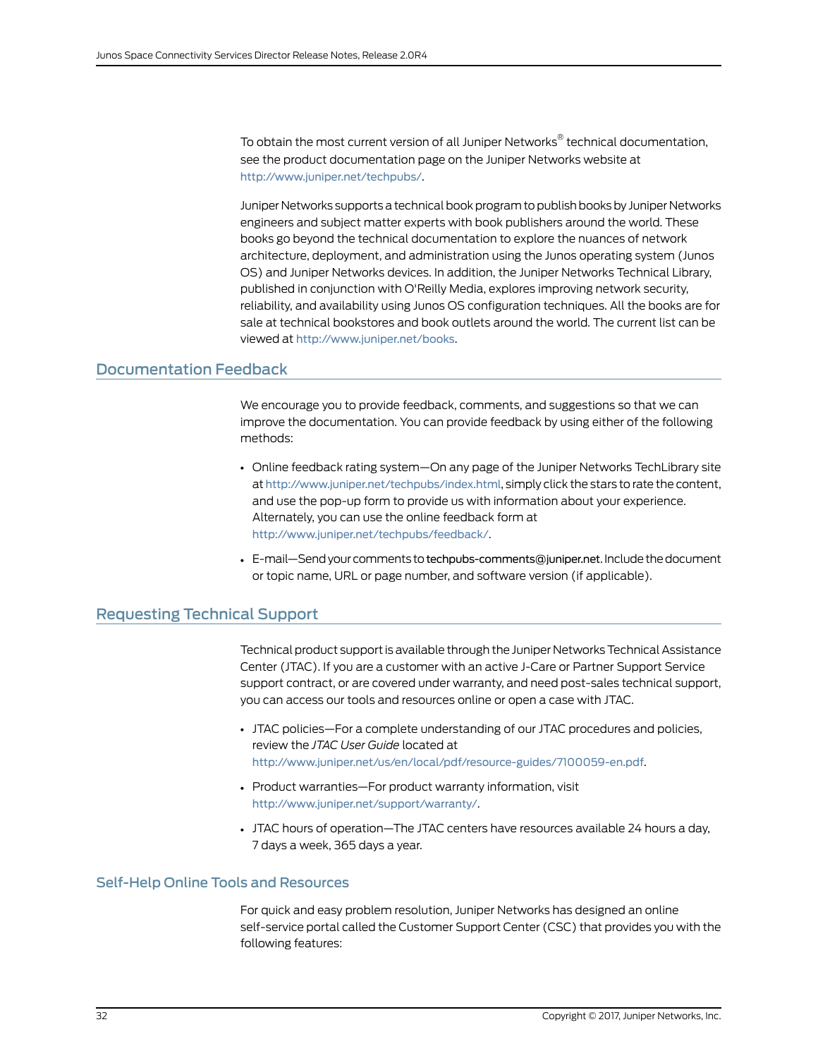To obtain the most current version of all Juniper Networks ® technical documentation, see the product documentation page on the Juniper Networks website at <http://www.juniper.net/techpubs/>.

Juniper Networks supports a technical book program to publish books by Juniper Networks engineers and subject matter experts with book publishers around the world. These books go beyond the technical documentation to explore the nuances of network architecture, deployment, and administration using the Junos operating system (Junos OS) and Juniper Networks devices. In addition, the Juniper Networks Technical Library, published in conjunction with O'Reilly Media, explores improving network security, reliability, and availability using Junos OS configuration techniques. All the books are for sale at technical bookstores and book outlets around the world. The current list can be viewed at <http://www.juniper.net/books>.

# <span id="page-31-0"></span>Documentation Feedback

We encourage you to provide feedback, comments, and suggestions so that we can improve the documentation. You can provide feedback by using either of the following methods:

- Online feedback rating system—On any page of the Juniper Networks TechLibrary site at <http://www.juniper.net/techpubs/index.html>, simply click the stars to rate the content, and use the pop-up form to provide us with information about your experience. Alternately, you can use the online feedback form at <http://www.juniper.net/techpubs/feedback/>.
- E-mail—Send your comments to [techpubs-comments@juniper.net](mailto:techpubs-comments@juniper.net?subject=). Include the document or topic name, URL or page number, and software version (if applicable).

# <span id="page-31-1"></span>Requesting Technical Support

Technical product support is available through the Juniper NetworksTechnical Assistance Center (JTAC). If you are a customer with an active J-Care or Partner Support Service support contract, or are covered under warranty, and need post-sales technical support, you can access our tools and resources online or open a case with JTAC.

- JTAC policies—For a complete understanding of our JTAC procedures and policies, review the *JTAC User Guide* located at <http://www.juniper.net/us/en/local/pdf/resource-guides/7100059-en.pdf>.
- Product warranties—For product warranty information, visit <http://www.juniper.net/support/warranty/>.
- JTAC hours of operation—The JTAC centers have resources available 24 hours a day, 7 days a week, 365 days a year.

### <span id="page-31-2"></span>Self-Help Online Tools and Resources

For quick and easy problem resolution, Juniper Networks has designed an online self-service portal called the Customer Support Center (CSC) that provides you with the following features: